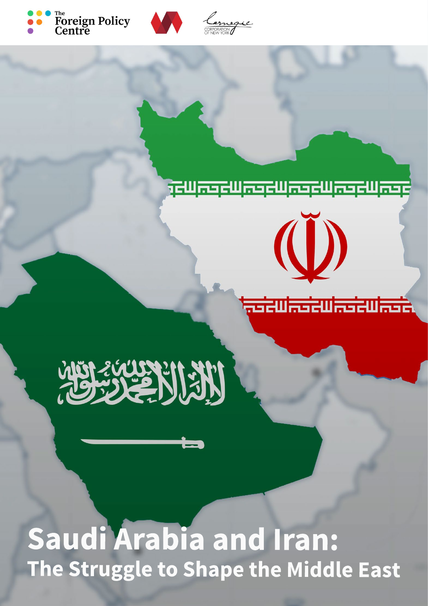





### <u>jewasewasewasewasewase</u>

 $\ddot{\textbf{(D)}}$ 

<u>. डांदणं इडांदणं इडांदणं इडां</u>

# 

## **Saudi Arabia and Iran: The Struggle to Shape the Middle East**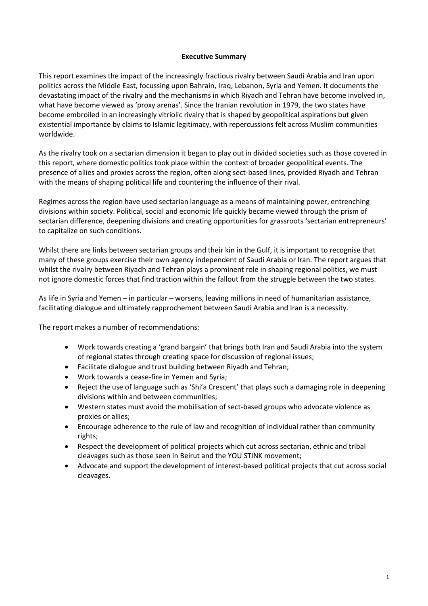#### **Executive Summary**

This report examines the impact of the increasingly fractious rivalry between Saudi Arabia and Iran upon politics across the Middle East, focussing upon Bahrain, Iraq, Lebanon, Syria and Yemen. It documents the devastating impact of the rivalry and the mechanisms in which Riyadh and Tehran have become involved in, what have become viewed as 'proxy arenas'. Since the Iranian revolution in 1979, the two states have become embroiled in an increasingly vitriolic rivalry that is shaped by geopolitical aspirations but given existential importance by claims to Islamic legitimacy, with repercussions felt across Muslim communities worldwide.

As the rivalry took on a sectarian dimension it began to play out in divided societies such as those covered in this report, where domestic politics took place within the context of broader geopolitical events. The presence of allies and proxies across the region, often along sect-based lines, provided Riyadh and Tehran with the means of shaping political life and countering the influence of their rival.

Regimes across the region have used sectarian language as a means of maintaining power, entrenching divisions within society. Political, social and economic life quickly became viewed through the prism of sectarian difference, deepening divisions and creating opportunities for grassroots 'sectarian entrepreneurs' to capitalize on such conditions.

Whilst there are links between sectarian groups and their kin in the Gulf, it is important to recognise that many of these groups exercise their own agency independent of Saudi Arabia or Iran. The report argues that whilst the rivalry between Riyadh and Tehran plays a prominent role in shaping regional politics, we must not ignore domestic forces that find traction within the fallout from the struggle between the two states.

As life in Syria and Yemen – in particular – worsens, leaving millions in need of humanitarian assistance, facilitating dialogue and ultimately rapprochement between Saudi Arabia and Iran is a necessity.

The report makes a number of recommendations:

- Work towards creating a 'grand bargain' that brings both Iran and Saudi Arabia into the system of regional states through creating space for discussion of regional issues;
- Facilitate dialogue and trust building between Riyadh and Tehran;
- Work towards a cease-fire in Yemen and Syria;
- Reject the use of language such as 'Shi'a Crescent' that plays such a damaging role in deepening divisions within and between communities;
- Western states must avoid the mobilisation of sect-based groups who advocate violence as proxies or allies;
- Encourage adherence to the rule of law and recognition of individual rather than community rights;
- Respect the development of political projects which cut across sectarian, ethnic and tribal cleavages such as those seen in Beirut and the YOU STINK movement;
- Advocate and support the development of interest-based political projects that cut across social cleavages.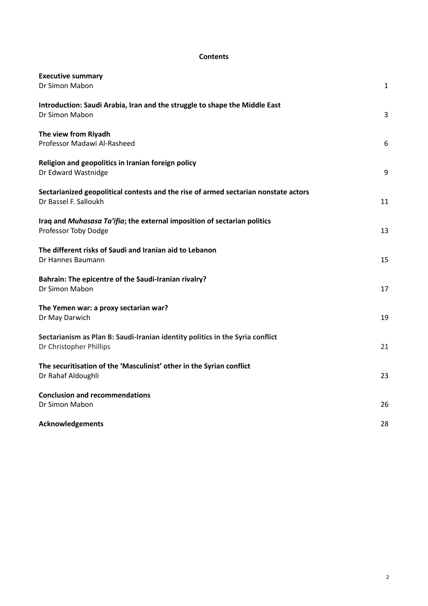#### **Contents**

| <b>Executive summary</b><br>Dr Simon Mabon                                                                   | $\mathbf{1}$ |
|--------------------------------------------------------------------------------------------------------------|--------------|
| Introduction: Saudi Arabia, Iran and the struggle to shape the Middle East<br>Dr Simon Mabon                 | 3            |
| The view from Riyadh<br>Professor Madawi Al-Rasheed                                                          | 6            |
| Religion and geopolitics in Iranian foreign policy<br>Dr Edward Wastnidge                                    | 9            |
| Sectarianized geopolitical contests and the rise of armed sectarian nonstate actors<br>Dr Bassel F. Salloukh | 11           |
| Iraq and Muhasasa Ta'ifia; the external imposition of sectarian politics<br>Professor Toby Dodge             | 13           |
| The different risks of Saudi and Iranian aid to Lebanon<br>Dr Hannes Baumann                                 | 15           |
| Bahrain: The epicentre of the Saudi-Iranian rivalry?<br>Dr Simon Mabon                                       | 17           |
| The Yemen war: a proxy sectarian war?<br>Dr May Darwich                                                      | 19           |
| Sectarianism as Plan B: Saudi-Iranian identity politics in the Syria conflict<br>Dr Christopher Phillips     | 21           |
| The securitisation of the 'Masculinist' other in the Syrian conflict<br>Dr Rahaf Aldoughli                   | 23           |
| <b>Conclusion and recommendations</b><br>Dr Simon Mabon                                                      | 26           |
| Acknowledgements                                                                                             | 28           |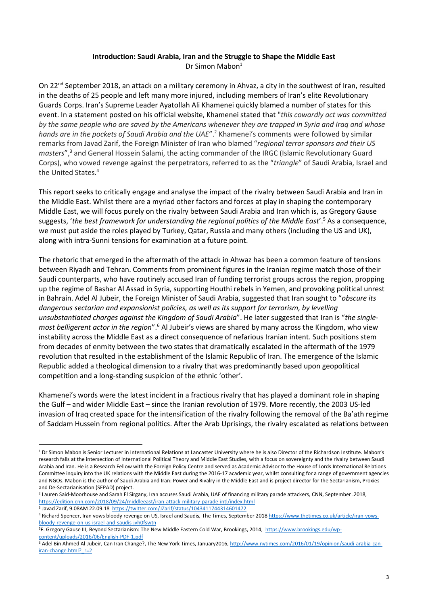#### **Introduction: Saudi Arabia, Iran and the Struggle to Shape the Middle East** Dr Simon Mabon<sup>1</sup>

On 22<sup>nd</sup> September 2018, an attack on a military ceremony in Ahvaz, a city in the southwest of Iran, resulted in the deaths of 25 people and left many more injured, including members of Iran's elite Revolutionary Guards Corps. Iran's Supreme Leader Ayatollah Ali Khamenei quickly blamed a number of states for this event. In a statement posted on his official website, Khamenei stated that "*this cowardly act was committed by the same people who are saved by the Americans whenever they are trapped in Syria and Iraq and whose hands are in the pockets of Saudi Arabia and the UAE*".<sup>2</sup> Khamenei's comments were followed by similar remarks from Javad Zarif, the Foreign Minister of Iran who blamed "*regional terror sponsors and their US masters*",<sup>3</sup> and General Hossein Salami, the acting commander of the IRGC (Islamic Revolutionary Guard Corps), who vowed revenge against the perpetrators, referred to as the "*triangle*" of Saudi Arabia, Israel and the United States.<sup>4</sup>

This report seeks to critically engage and analyse the impact of the rivalry between Saudi Arabia and Iran in the Middle East. Whilst there are a myriad other factors and forces at play in shaping the contemporary Middle East, we will focus purely on the rivalry between Saudi Arabia and Iran which is, as Gregory Gause suggests, '*the best framework for understanding the regional politics of the Middle East*'.<sup>5</sup> As a consequence, we must put aside the roles played by Turkey, Qatar, Russia and many others (including the US and UK), along with intra-Sunni tensions for examination at a future point.

The rhetoric that emerged in the aftermath of the attack in Ahwaz has been a common feature of tensions between Riyadh and Tehran. Comments from prominent figures in the Iranian regime match those of their Saudi counterparts, who have routinely accused Iran of funding terrorist groups across the region, propping up the regime of Bashar Al Assad in Syria, supporting Houthi rebels in Yemen, and provoking political unrest in Bahrain. Adel Al Jubeir, the Foreign Minister of Saudi Arabia, suggested that Iran sought to "*obscure its dangerous sectarian and expansionist policies, as well as its support for terrorism, by levelling unsubstantiated charges against the Kingdom of Saudi Arabia*". He later suggested that Iran is "*the singlemost belligerent actor in the region*".<sup>6</sup> Al Jubeir's views are shared by many across the Kingdom, who view instability across the Middle East as a direct consequence of nefarious Iranian intent. Such positions stem from decades of enmity between the two states that dramatically escalated in the aftermath of the 1979 revolution that resulted in the establishment of the Islamic Republic of Iran. The emergence of the Islamic Republic added a theological dimension to a rivalry that was predominantly based upon geopolitical competition and a long-standing suspicion of the ethnic 'other'.

Khamenei's words were the latest incident in a fractious rivalry that has played a dominant role in shaping the Gulf – and wider Middle East – since the Iranian revolution of 1979. More recently, the 2003 US-led invasion of Iraq created space for the intensification of the rivalry following the removal of the Ba'ath regime of Saddam Hussein from regional politics. After the Arab Uprisings, the rivalry escalated as relations between

<sup>&</sup>lt;sup>1</sup> Dr Simon Mabon is Senior Lecturer in International Relations at Lancaster University where he is also Director of the Richardson Institute. Mabon's research falls at the intersection of International Political Theory and Middle East Studies, with a focus on sovereignty and the rivalry between Saudi Arabia and Iran. He is a Research Fellow with the Foreign Policy Centre and served as Academic Advisor to the House of Lords International Relations Committee inquiry into the UK relations with the Middle East during the 2016-17 academic year, whilst consulting for a range of government agencies and NGOs. Mabon is the author of Saudi Arabia and Iran: Power and Rivalry in the Middle East and is project director for the Sectarianism, Proxies and De-Sectarianisation (SEPAD) project.

<sup>2</sup> Lauren Said-Moorhouse and Sarah El Sirgany, Iran accuses Saudi Arabia, UAE of financing military parade attackers*,* CNN, September .2018, <https://edition.cnn.com/2018/09/24/middleeast/iran-attack-military-parade-intl/index.html>

<sup>&</sup>lt;sup>3</sup> Javad Zarif, 9.08AM 22.09.18<https://twitter.com/JZarif/status/1043411744314601472>

<sup>4</sup> Richard Spencer, Iran vows bloody revenge on US, Israel and Saudis*,* The Times, September 201[8 https://www.thetimes.co.uk/article/iran-vows](https://www.thetimes.co.uk/article/iran-vows-bloody-revenge-on-us-israel-and-saudis-jvh0fswtn)[bloody-revenge-on-us-israel-and-saudis-jvh0fswtn](https://www.thetimes.co.uk/article/iran-vows-bloody-revenge-on-us-israel-and-saudis-jvh0fswtn)

<sup>5</sup>F. Gregory Gause III, Beyond Sectarianism: The New Middle Eastern Cold War, Brookings, 2014, [https://www.brookings.edu/wp](https://www.brookings.edu/wp-content/uploads/2016/06/English-PDF-1.pdf)[content/uploads/2016/06/English-PDF-1.pdf](https://www.brookings.edu/wp-content/uploads/2016/06/English-PDF-1.pdf)

<sup>&</sup>lt;sup>6</sup> Adel Bin Ahmed Al-Jubeir, Can Iran Change?, The New York Times, January2016[, http://www.nytimes.com/2016/01/19/opinion/saudi-arabia-can](http://www.nytimes.com/2016/01/19/opinion/saudi-arabia-can-iran-change.html?_r=2)iran-change.html? r=2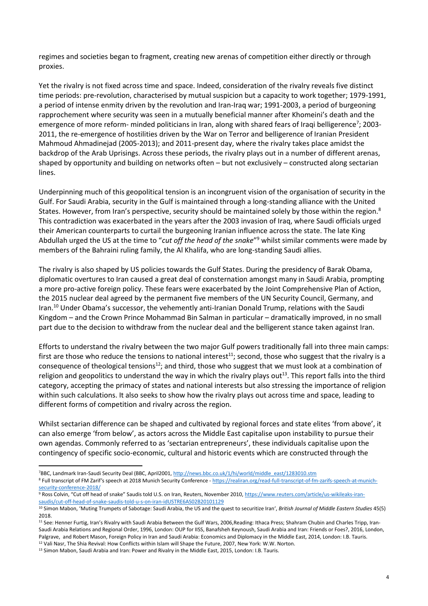regimes and societies began to fragment, creating new arenas of competition either directly or through proxies.

Yet the rivalry is not fixed across time and space. Indeed, consideration of the rivalry reveals five distinct time periods: pre-revolution, characterised by mutual suspicion but a capacity to work together; 1979-1991, a period of intense enmity driven by the revolution and Iran-Iraq war; 1991-2003, a period of burgeoning rapprochement where security was seen in a mutually beneficial manner after Khomeini's death and the emergence of more reform- minded politicians in Iran, along with shared fears of Iraqi belligerence<sup>7</sup>; 2003-2011, the re-emergence of hostilities driven by the War on Terror and belligerence of Iranian President Mahmoud Ahmadinejad (2005-2013); and 2011-present day, where the rivalry takes place amidst the backdrop of the Arab Uprisings. Across these periods, the rivalry plays out in a number of different arenas, shaped by opportunity and building on networks often – but not exclusively – constructed along sectarian lines.

Underpinning much of this geopolitical tension is an incongruent vision of the organisation of security in the Gulf. For Saudi Arabia, security in the Gulf is maintained through a long-standing alliance with the United States. However, from Iran's perspective, security should be maintained solely by those within the region.<sup>8</sup> This contradiction was exacerbated in the years after the 2003 invasion of Iraq, where Saudi officials urged their American counterparts to curtail the burgeoning Iranian influence across the state. The late King Abdullah urged the US at the time to "*cut off the head of the snake*" <sup>9</sup> whilst similar comments were made by members of the Bahraini ruling family, the Al Khalifa, who are long-standing Saudi allies.

The rivalry is also shaped by US policies towards the Gulf States. During the presidency of Barak Obama, diplomatic overtures to Iran caused a great deal of consternation amongst many in Saudi Arabia, prompting a more pro-active foreign policy. These fears were exacerbated by the Joint Comprehensive Plan of Action, the 2015 nuclear deal agreed by the permanent five members of the UN Security Council, Germany, and Iran.<sup>10</sup> Under Obama's successor, the vehemently anti-Iranian Donald Trump, relations with the Saudi Kingdom – and the Crown Prince Mohammad Bin Salman in particular – dramatically improved, in no small part due to the decision to withdraw from the nuclear deal and the belligerent stance taken against Iran.

Efforts to understand the rivalry between the two major Gulf powers traditionally fall into three main camps: first are those who reduce the tensions to national interest<sup>11</sup>; second, those who suggest that the rivalry is a consequence of theological tensions<sup>12</sup>; and third, those who suggest that we must look at a combination of religion and geopolitics to understand the way in which the rivalry plays out<sup>13</sup>. This report falls into the third category, accepting the primacy of states and national interests but also stressing the importance of religion within such calculations. It also seeks to show how the rivalry plays out across time and space, leading to different forms of competition and rivalry across the region.

Whilst sectarian difference can be shaped and cultivated by regional forces and state elites 'from above', it can also emerge 'from below', as actors across the Middle East capitalise upon instability to pursue their own agendas. Commonly referred to as 'sectarian entrepreneurs', these individuals capitalise upon the contingency of specific socio-economic, cultural and historic events which are constructed through the

<sup>13</sup> Simon Mabon, Saudi Arabia and Iran: Power and Rivalry in the Middle East, 2015, London: I.B. Tauris.

<sup>7</sup>BBC, Landmark Iran-Saudi Security Deal (BBC, April2001[, http://news.bbc.co.uk/1/hi/world/middle\\_east/1283010.stm](http://news.bbc.co.uk/1/hi/world/middle_east/1283010.stm)

<sup>8</sup> Full transcript of FM Zarif's speech at 2018 Munich Security Conference - [https://realiran.org/read-full-transcript-of-fm-zarifs-speech-at-munich](https://realiran.org/read-full-transcript-of-fm-zarifs-speech-at-munich-security-conference-2018/)[security-conference-2018/](https://realiran.org/read-full-transcript-of-fm-zarifs-speech-at-munich-security-conference-2018/)

<sup>9</sup> Ross Colvin, "Cut off head of snake" Saudis told U.S. on Iran, Reuters, November 2010[, https://www.reuters.com/article/us-wikileaks-iran](https://www.reuters.com/article/us-wikileaks-iran-saudis/cut-off-head-of-snake-saudis-told-u-s-on-iran-idUSTRE6AS02B20101129)[saudis/cut-off-head-of-snake-saudis-told-u-s-on-iran-idUSTRE6AS02B20101129](https://www.reuters.com/article/us-wikileaks-iran-saudis/cut-off-head-of-snake-saudis-told-u-s-on-iran-idUSTRE6AS02B20101129)

<sup>10</sup> Simon Mabon, 'Muting Trumpets of Sabotage: Saudi Arabia, the US and the quest to securitize Iran', *British Journal of Middle Eastern Studies* 45(5) 2018.

<sup>&</sup>lt;sup>11</sup> See: Henner Furtig, Iran's Rivalry with Saudi Arabia Between the Gulf Wars, 2006,Reading: Ithaca Press; Shahram Chubin and Charles Tripp, Iran-Saudi Arabia Relations and Regional Order, 1996, London: OUP for IISS, Banafsheh Keynoush, Saudi Arabia and Iran: Friends or Foes?, 2016, London, Palgrave, and Robert Mason, Foreign Policy in Iran and Saudi Arabia: Economics and Diplomacy in the Middle East, 2014, London: I.B. Tauris. <sup>12</sup> Vali Nasr, The Shia Revival: How Conflicts within Islam will Shape the Future, 2007, New York: W.W. Norton.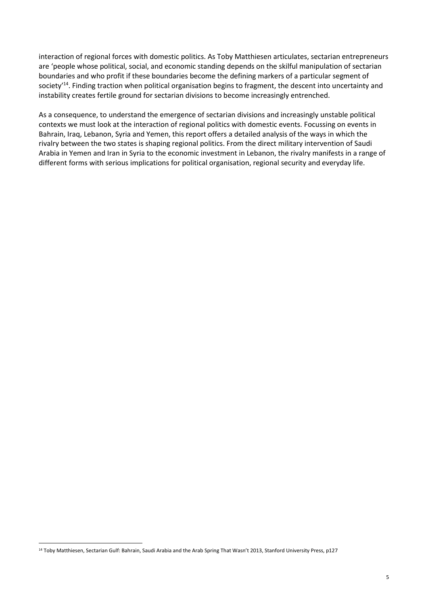interaction of regional forces with domestic politics. As Toby Matthiesen articulates, sectarian entrepreneurs are 'people whose political, social, and economic standing depends on the skilful manipulation of sectarian boundaries and who profit if these boundaries become the defining markers of a particular segment of society<sup>'14</sup>. Finding traction when political organisation begins to fragment, the descent into uncertainty and instability creates fertile ground for sectarian divisions to become increasingly entrenched.

As a consequence, to understand the emergence of sectarian divisions and increasingly unstable political contexts we must look at the interaction of regional politics with domestic events. Focussing on events in Bahrain, Iraq, Lebanon, Syria and Yemen, this report offers a detailed analysis of the ways in which the rivalry between the two states is shaping regional politics. From the direct military intervention of Saudi Arabia in Yemen and Iran in Syria to the economic investment in Lebanon, the rivalry manifests in a range of different forms with serious implications for political organisation, regional security and everyday life.

<sup>&</sup>lt;sup>14</sup> Toby Matthiesen, Sectarian Gulf: Bahrain, Saudi Arabia and the Arab Spring That Wasn't 2013, Stanford University Press, p127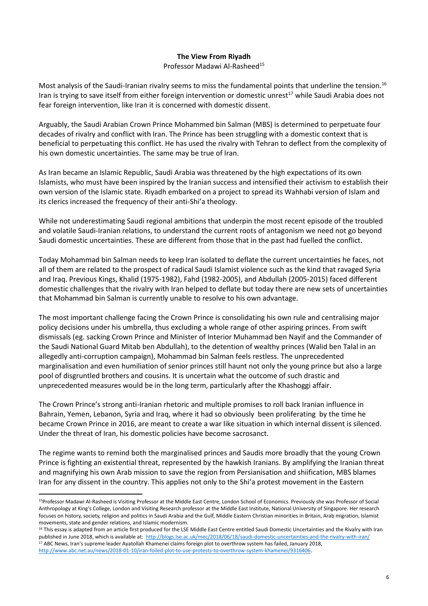#### **The View From Riyadh**

Professor Madawi Al-Rasheed<sup>15</sup>

Most analysis of the Saudi-Iranian rivalry seems to miss the fundamental points that underline the tension.<sup>16</sup> Iran is trying to save itself from either foreign intervention or domestic unrest<sup>17</sup> while Saudi Arabia does not fear foreign intervention, like Iran it is concerned with domestic dissent.

Arguably, the Saudi Arabian Crown Prince Mohammed bin Salman (MBS) is determined to perpetuate four decades of rivalry and conflict with Iran. The Prince has been struggling with a domestic context that is beneficial to perpetuating this conflict. He has used the rivalry with Tehran to deflect from the complexity of his own domestic uncertainties. The same may be true of Iran.

As Iran became an Islamic Republic, Saudi Arabia was threatened by the high expectations of its own Islamists, who must have been inspired by the Iranian success and intensified their activism to establish their own version of the Islamic state. Riyadh embarked on a project to spread its Wahhabi version of Islam and its clerics increased the frequency of their anti-Shi'a theology.

While not underestimating Saudi regional ambitions that underpin the most recent episode of the troubled and volatile Saudi-Iranian relations, to understand the current roots of antagonism we need not go beyond Saudi domestic uncertainties. These are different from those that in the past had fuelled the conflict.

Today Mohammad bin Salman needs to keep Iran isolated to deflate the current uncertainties he faces, not all of them are related to the prospect of radical Saudi Islamist violence such as the kind that ravaged Syria and Iraq. Previous Kings, Khalid (1975-1982), Fahd (1982-2005), and Abdullah (2005-2015) faced different domestic challenges that the rivalry with Iran helped to deflate but today there are new sets of uncertainties that Mohammad bin Salman is currently unable to resolve to his own advantage.

The most important challenge facing the Crown Prince is consolidating his own rule and centralising major policy decisions under his umbrella, thus excluding a whole range of other aspiring princes. From swift dismissals (eg. sacking Crown Prince and Minister of Interior Muhammad ben Nayif and the Commander of the Saudi National Guard Mitab ben Abdullah), to the detention of wealthy princes (Walid ben Talal in an allegedly anti-corruption campaign), Mohammad bin Salman feels restless. The unprecedented marginalisation and even humiliation of senior princes still haunt not only the young prince but also a large pool of disgruntled brothers and cousins. It is uncertain what the outcome of such drastic and unprecedented measures would be in the long term, particularly after the Khashoggi affair.

The Crown Prince's strong anti-Iranian rhetoric and multiple promises to roll back Iranian influence in Bahrain, Yemen, Lebanon, Syria and Iraq, where it had so obviously been proliferating by the time he became Crown Prince in 2016, are meant to create a war like situation in which internal dissent is silenced. Under the threat of Iran, his domestic policies have become sacrosanct.

The regime wants to remind both the marginalised princes and Saudis more broadly that the young Crown Prince is fighting an existential threat, represented by the hawkish Iranians. By amplifying the Iranian threat and magnifying his own Arab mission to save the region from Persianisation and shiification, MBS blames Iran for any dissent in the country. This applies not only to the Shi'a protest movement in the Eastern

<sup>15</sup>Professor Madawi Al-Rasheed is Visiting Professor at the Middle East Centre, London School of Economics. Previously she was Professor of Social Anthropology at King's College, London and Visiting Research professor at the Middle East Institute, National University of Singapore. Her research focuses on history, society, religion and politics in Saudi Arabia and the Gulf, Middle Eastern Christian minorities in Britain, Arab migration, Islamist movements, state and gender relations, and Islamic modernism.

<sup>&</sup>lt;sup>16</sup> This essay is adapted from an article first produced for the LSE Middle East Centre entitled Saudi Domestic Uncertainties and the Rivalry with Iran published in June 2018, which is available at:<http://blogs.lse.ac.uk/mec/2018/06/18/saudi-domestic-uncertainties-and-the-rivalry-with-iran/> <sup>17</sup> ABC News, Iran's supreme leader Ayatollah Khamenei claims foreign plot to overthrow system has failed, January 2018, [http://www.abc.net.au/news/2018-01-10/iran-foiled-plot-to-use-protests-to-overthrow-system-khamenei/9316406.](http://www.abc.net.au/news/2018-01-10/iran-foiled-plot-to-use-protests-to-overthrow-system-khamenei/9316406)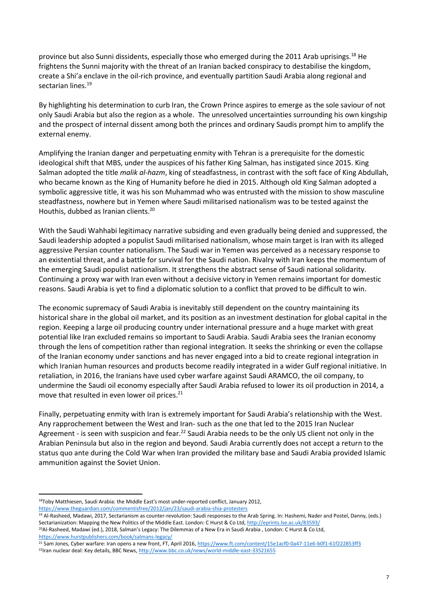province but also Sunni dissidents, especially those who emerged during the 2011 Arab uprisings.<sup>18</sup> He frightens the Sunni majority with the threat of an Iranian backed conspiracy to destabilise the kingdom, create a Shi'a enclave in the oil-rich province, and eventually partition Saudi Arabia along regional and sectarian lines.<sup>19</sup>

By highlighting his determination to curb Iran, the Crown Prince aspires to emerge as the sole saviour of not only Saudi Arabia but also the region as a whole. The unresolved uncertainties surrounding his own kingship and the prospect of internal dissent among both the princes and ordinary Saudis prompt him to amplify the external enemy.

Amplifying the Iranian danger and perpetuating enmity with Tehran is a prerequisite for the domestic ideological shift that MBS, under the auspices of his father King Salman, has instigated since 2015. King Salman adopted the title *malik al-hazm*, king of steadfastness, in contrast with the soft face of King Abdullah, who became known as the King of Humanity before he died in 2015. Although old King Salman adopted a symbolic aggressive title, it was his son Muhammad who was entrusted with the mission to show masculine steadfastness, nowhere but in Yemen where Saudi militarised nationalism was to be tested against the Houthis, dubbed as Iranian clients.<sup>20</sup>

With the Saudi Wahhabi legitimacy narrative subsiding and even gradually being denied and suppressed, the Saudi leadership adopted a populist Saudi militarised nationalism, whose main target is Iran with its alleged aggressive Persian counter nationalism. The Saudi war in Yemen was perceived as a necessary response to an existential threat, and a battle for survival for the Saudi nation. Rivalry with Iran keeps the momentum of the emerging Saudi populist nationalism. It strengthens the abstract sense of Saudi national solidarity. Continuing a proxy war with Iran even without a decisive victory in Yemen remains important for domestic reasons. Saudi Arabia is yet to find a diplomatic solution to a conflict that proved to be difficult to win.

The economic supremacy of Saudi Arabia is inevitably still dependent on the country maintaining its historical share in the global oil market, and its position as an investment destination for global capital in the region. Keeping a large oil producing country under international pressure and a huge market with great potential like Iran excluded remains so important to Saudi Arabia. Saudi Arabia sees the Iranian economy through the lens of competition rather than regional integration. It seeks the shrinking or even the collapse of the Iranian economy under sanctions and has never engaged into a bid to create regional integration in which Iranian human resources and products become readily integrated in a wider Gulf regional initiative. In retaliation, in 2016, the Iranians have used cyber warfare against Saudi ARAMCO, the oil company, to undermine the Saudi oil economy especially after Saudi Arabia refused to lower its oil production in 2014, a move that resulted in even lower oil prices.<sup>21</sup>

Finally, perpetuating enmity with Iran is extremely important for Saudi Arabia's relationship with the West. Any rapprochement between the West and Iran- such as the one that led to the 2015 Iran Nuclear Agreement - is seen with suspicion and fear.<sup>22</sup> Saudi Arabia needs to be the only US client not only in the Arabian Peninsula but also in the region and beyond. Saudi Arabia currently does not accept a return to the status quo ante during the Cold War when Iran provided the military base and Saudi Arabia provided Islamic ammunition against the Soviet Union.

<sup>18</sup>Toby Matthiesen, Saudi Arabia: the Middle East's most under-reported conflict, January 2012, <https://www.theguardian.com/commentisfree/2012/jan/23/saudi-arabia-shia-protesters>

<sup>&</sup>lt;sup>19</sup> Al-Rasheed, Madawi, 2017, Sectarianism as counter-revolution: Saudi responses to the Arab Spring. In: Hashemi, Nader and Postel, Danny, (eds.) Sectarianization: Mapping the New Politics of the Middle East. London: C Hurst & Co Ltd[, http://eprints.lse.ac.uk/83593/](http://eprints.lse.ac.uk/83593/)

<sup>&</sup>lt;sup>20</sup>Al-Rasheed, Madawi (ed.), 2018, Salman's Legacy: The Dilemmas of a New Era in Saudi Arabia , London: C Hurst & Co Ltd, <https://www.hurstpublishers.com/book/salmans-legacy/>

<sup>&</sup>lt;sup>21</sup> Sam Jones, Cyber warfare: Iran opens a new front, FT, April 2016[, https://www.ft.com/content/15e1acf0-0a47-11e6-b0f1-61f222853ff3](https://www.ft.com/content/15e1acf0-0a47-11e6-b0f1-61f222853ff3) <sup>22</sup>Iran nuclear deal: Key details, BBC News[, http://www.bbc.co.uk/news/world-middle-east-33521655](http://www.bbc.co.uk/news/world-middle-east-33521655)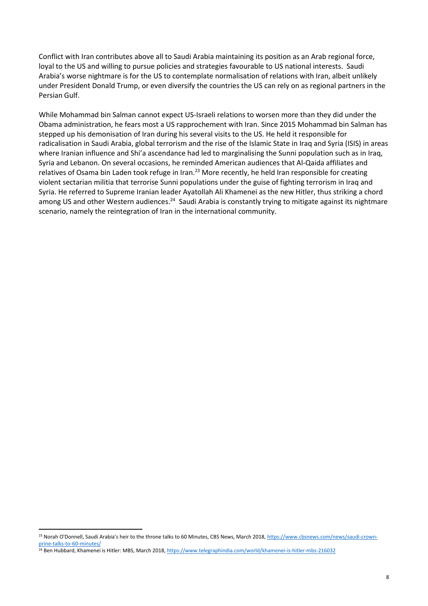Conflict with Iran contributes above all to Saudi Arabia maintaining its position as an Arab regional force, loyal to the US and willing to pursue policies and strategies favourable to US national interests. Saudi Arabia's worse nightmare is for the US to contemplate normalisation of relations with Iran, albeit unlikely under President Donald Trump, or even diversify the countries the US can rely on as regional partners in the Persian Gulf.

While Mohammad bin Salman cannot expect US-Israeli relations to worsen more than they did under the Obama administration, he fears most a US rapprochement with Iran. Since 2015 Mohammad bin Salman has stepped up his demonisation of Iran during his several visits to the US. He held it responsible for radicalisation in Saudi Arabia, global terrorism and the rise of the Islamic State in Iraq and Syria (ISIS) in areas where Iranian influence and Shi'a ascendance had led to marginalising the Sunni population such as in Iraq, Syria and Lebanon. On several occasions, he reminded American audiences that Al-Qaida affiliates and relatives of Osama bin Laden took refuge in Iran.<sup>23</sup> More recently, he held Iran responsible for creating violent sectarian militia that terrorise Sunni populations under the guise of fighting terrorism in Iraq and Syria. He referred to Supreme Iranian leader Ayatollah Ali Khamenei as the new Hitler, thus striking a chord among US and other Western audiences.<sup>24</sup> Saudi Arabia is constantly trying to mitigate against its nightmare scenario, namely the reintegration of Iran in the international community.

1

<sup>&</sup>lt;sup>23</sup> Norah O'Donnell, Saudi Arabia's heir to the throne talks to 60 Minutes, CBS News, March 2018[, https://www.cbsnews.com/news/saudi-crown](https://www.cbsnews.com/news/saudi-crown-prine-talks-to-60-minutes/)[prine-talks-to-60-minutes/](https://www.cbsnews.com/news/saudi-crown-prine-talks-to-60-minutes/)

<sup>&</sup>lt;sup>24</sup> Ben Hubbard, Khamenei is Hitler: MBS, March 2018[, https://www.telegraphindia.com/world/khamenei-is-hitler-mbs-216032](https://www.telegraphindia.com/world/khamenei-is-hitler-mbs-216032)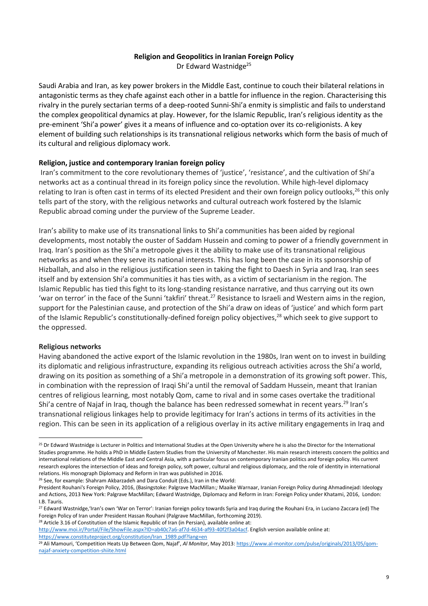#### **Religion and Geopolitics in Iranian Foreign Policy**

Dr Edward Wastnidge<sup>25</sup>

Saudi Arabia and Iran, as key power brokers in the Middle East, continue to couch their bilateral relations in antagonistic terms as they chafe against each other in a battle for influence in the region. Characterising this rivalry in the purely sectarian terms of a deep-rooted Sunni-Shi'a enmity is simplistic and fails to understand the complex geopolitical dynamics at play. However, for the Islamic Republic, Iran's religious identity as the pre-eminent 'Shi'a power' gives it a means of influence and co-optation over its co-religionists. A key element of building such relationships is its transnational religious networks which form the basis of much of its cultural and religious diplomacy work.

#### **Religion, justice and contemporary Iranian foreign policy**

Iran's commitment to the core revolutionary themes of 'justice', 'resistance', and the cultivation of Shi'a networks act as a continual thread in its foreign policy since the revolution. While high-level diplomacy relating to Iran is often cast in terms of its elected President and their own foreign policy outlooks,<sup>26</sup> this only tells part of the story, with the religious networks and cultural outreach work fostered by the Islamic Republic abroad coming under the purview of the Supreme Leader.

Iran's ability to make use of its transnational links to Shi'a communities has been aided by regional developments, most notably the ouster of Saddam Hussein and coming to power of a friendly government in Iraq. Iran's position as the Shi'a metropole gives it the ability to make use of its transnational religious networks as and when they serve its national interests. This has long been the case in its sponsorship of Hizballah, and also in the religious justification seen in taking the fight to Daesh in Syria and Iraq. Iran sees itself and by extension Shi'a communities it has ties with, as a victim of sectarianism in the region. The Islamic Republic has tied this fight to its long-standing resistance narrative, and thus carrying out its own 'war on terror' in the face of the Sunni 'takfiri' threat.<sup>27</sup> Resistance to Israeli and Western aims in the region, support for the Palestinian cause, and protection of the Shi'a draw on ideas of 'justice' and which form part of the Islamic Republic's constitutionally-defined foreign policy objectives,<sup>28</sup> which seek to give support to the oppressed.

#### **Religious networks**

 $\overline{a}$ 

Having abandoned the active export of the Islamic revolution in the 1980s, Iran went on to invest in building its diplomatic and religious infrastructure, expanding its religious outreach activities across the Shi'a world, drawing on its position as something of a Shi'a metropole in a demonstration of its growing soft power. This, in combination with the repression of Iraqi Shi'a until the removal of Saddam Hussein, meant that Iranian centres of religious learning, most notably Qom, came to rival and in some cases overtake the traditional Shi'a centre of Najaf in Iraq, though the balance has been redressed somewhat in recent years.<sup>29</sup> Iran's transnational religious linkages help to provide legitimacy for Iran's actions in terms of its activities in the region. This can be seen in its application of a religious overlay in its active military engagements in Iraq and

<sup>26</sup> See, for example: Shahram Akbarzadeh and Dara Conduit (Eds.), Iran in the World:

<sup>28</sup> Article 3.16 of Constitution of the Islamic Republic of Iran (in Persian), available online at:

[http://www.moi.ir/Portal/File/ShowFile.aspx?ID=ab40c7a6-af7d-4634-af93-40f2f3a04acf.](http://www.moi.ir/Portal/File/ShowFile.aspx?ID=ab40c7a6-af7d-4634-af93-40f2f3a04acf) English version available online at: [https://www.constituteproject.org/constitution/Iran\\_1989.pdf?lang=en](https://www.constituteproject.org/constitution/Iran_1989.pdf?lang=en)

<sup>&</sup>lt;sup>25</sup> Dr Edward Wastnidge is Lecturer in Politics and International Studies at the Open University where he is also the Director for the International Studies programme. He holds a PhD in Middle Eastern Studies from the University of Manchester. His main research interests concern the politics and international relations of the Middle East and Central Asia, with a particular focus on contemporary Iranian politics and foreign policy. His current research explores the intersection of ideas and foreign policy, soft power, cultural and religious diplomacy, and the role of identity in international relations. His monograph Diplomacy and Reform in Iran was published in 2016.

President Rouhani's Foreign Policy, 2016, (Basingstoke: Palgrave MacMillan:*;* Maaike Warnaar, Iranian Foreign Policy during Ahmadinejad: Ideology and Actions, 2013 New York: Palgrave MacMillan; Edward Wastnidge, Diplomacy and Reform in Iran: Foreign Policy under Khatami, 2016, London: I.B. Tauris.

<sup>&</sup>lt;sup>27</sup> Edward Wastnidge, 'Iran's own 'War on Terror': Iranian foreign policy towards Syria and Iraq during the Rouhani Era, in Luciano Zaccara (ed) The Foreign Policy of Iran under President Hassan Rouhani (Palgrave MacMillan, forthcoming 2019).

<sup>29</sup> Ali Mamouri, 'Competition Heats Up Between Qom, Najaf', *Al Monitor*, May 2013[: https://www.al-monitor.com/pulse/originals/2013/05/qom](https://www.al-monitor.com/pulse/originals/2013/05/qom-najaf-anxiety-competition-shiite.html)[najaf-anxiety-competition-shiite.html](https://www.al-monitor.com/pulse/originals/2013/05/qom-najaf-anxiety-competition-shiite.html)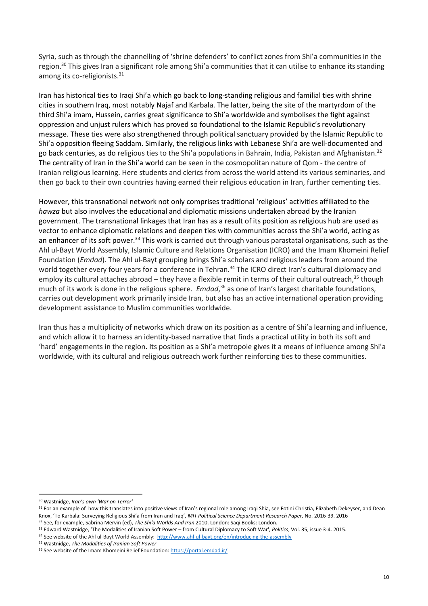Syria, such as through the channelling of 'shrine defenders' to conflict zones from Shi'a communities in the region.<sup>30</sup> This gives Iran a significant role among Shi'a communities that it can utilise to enhance its standing among its co-religionists.<sup>31</sup>

Iran has historical ties to Iraqi Shi'a which go back to long-standing religious and familial ties with shrine cities in southern Iraq, most notably Najaf and Karbala. The latter, being the site of the martyrdom of the third Shi'a imam, Hussein, carries great significance to Shi'a worldwide and symbolises the fight against oppression and unjust rulers which has proved so foundational to the Islamic Republic's revolutionary message. These ties were also strengthened through political sanctuary provided by the Islamic Republic to Shi'a opposition fleeing Saddam. Similarly, the religious links with Lebanese Shi'a are well-documented and go back centuries, as do religious ties to the Shi'a populations in Bahrain, India, Pakistan and Afghanistan.<sup>32</sup> The centrality of Iran in the Shi'a world can be seen in the cosmopolitan nature of Qom - the centre of Iranian religious learning. Here students and clerics from across the world attend its various seminaries, and then go back to their own countries having earned their religious education in Iran, further cementing ties.

However, this transnational network not only comprises traditional 'religious' activities affiliated to the *hawza* but also involves the educational and diplomatic missions undertaken abroad by the Iranian government. The transnational linkages that Iran has as a result of its position as religious hub are used as vector to enhance diplomatic relations and deepen ties with communities across the Shi'a world, acting as an enhancer of its soft power.<sup>33</sup> This work is carried out through various parastatal organisations, such as the Ahl ul-Bayt World Assembly, Islamic Culture and Relations Organisation (ICRO) and the Imam Khomeini Relief Foundation (*Emdad*). The Ahl ul-Bayt grouping brings Shi'a scholars and religious leaders from around the world together every four years for a conference in Tehran.<sup>34</sup> The ICRO direct Iran's cultural diplomacy and employ its cultural attaches abroad – they have a flexible remit in terms of their cultural outreach,  $35$  though much of its work is done in the religious sphere. *Emdad*, <sup>36</sup> as one of Iran's largest charitable foundations, carries out development work primarily inside Iran, but also has an active international operation providing development assistance to Muslim communities worldwide.

Iran thus has a multiplicity of networks which draw on its position as a centre of Shi'a learning and influence, and which allow it to harness an identity-based narrative that finds a practical utility in both its soft and 'hard' engagements in the region. Its position as a Shi'a metropole gives it a means of influence among Shi'a worldwide, with its cultural and religious outreach work further reinforcing ties to these communities.

**<sup>.</sup>** <sup>30</sup> Wastnidge, *Iran's own 'War on Terror'*

<sup>&</sup>lt;sup>31</sup> For an example of how this translates into positive views of Iran's regional role among Iraqi Shia, see Fotini Christia, Elizabeth Dekeyser, and Dean Knox, 'To Karbala: Surveying Religious Shi'a from Iran and Iraq', *MIT Political Science Department Research Paper,* No. 2016-39. 2016

<sup>32</sup> See, for example, Sabrina Mervin (ed), *The Shi'a Worlds And Iran* 2010, London: Saqi Books: London.

<sup>33</sup> Edward Wastnidge, 'The Modalities of Iranian Soft Power – from Cultural Diplomacy to Soft War', *Politics*, Vol. 35, issue 3-4. 2015.

<sup>34</sup> See website of the Ahl ul-Bayt World Assembly:<http://www.ahl-ul-bayt.org/en/introducing-the-assembly>

<sup>35</sup> Wastnidge, *The Modalities of Iranian Soft Power*

<sup>&</sup>lt;sup>36</sup> See website of the Imam Khomeini Relief Foundation[: https://portal.emdad.ir/](https://portal.emdad.ir/)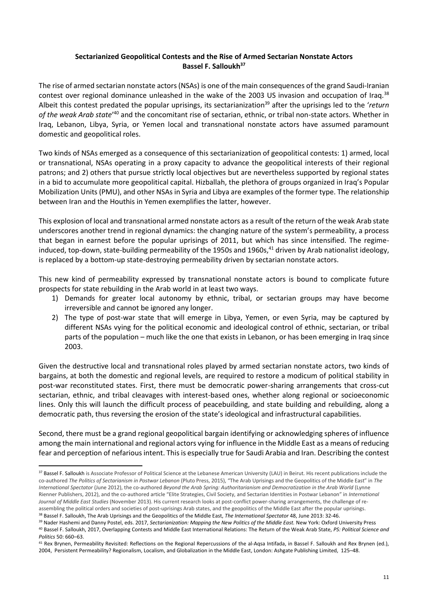#### **Sectarianized Geopolitical Contests and the Rise of Armed Sectarian Nonstate Actors Bassel F. Salloukh<sup>37</sup>**

The rise of armed sectarian nonstate actors (NSAs) is one of the main consequences of the grand Saudi-Iranian contest over regional dominance unleashed in the wake of the 2003 US invasion and occupation of Iraq.<sup>38</sup> Albeit this contest predated the popular uprisings, its sectarianization<sup>39</sup> after the uprisings led to the 'return of the weak Arab state<sup>'40</sup> and the concomitant rise of sectarian, ethnic, or tribal non-state actors. Whether in Iraq, Lebanon, Libya, Syria, or Yemen local and transnational nonstate actors have assumed paramount domestic and geopolitical roles.

Two kinds of NSAs emerged as a consequence of this sectarianization of geopolitical contests: 1) armed, local or transnational, NSAs operating in a proxy capacity to advance the geopolitical interests of their regional patrons; and 2) others that pursue strictly local objectives but are nevertheless supported by regional states in a bid to accumulate more geopolitical capital. Hizballah, the plethora of groups organized in Iraq's Popular Mobilization Units (PMU), and other NSAs in Syria and Libya are examples of the former type. The relationship between Iran and the Houthis in Yemen exemplifies the latter, however.

This explosion of local and transnational armed nonstate actors as a result of the return of the weak Arab state underscores another trend in regional dynamics: the changing nature of the system's permeability, a process that began in earnest before the popular uprisings of 2011, but which has since intensified. The regimeinduced, top-down, state-building permeability of the 1950s and 1960s, $41$  driven by Arab nationalist ideology, is replaced by a bottom-up state-destroying permeability driven by sectarian nonstate actors.

This new kind of permeability expressed by transnational nonstate actors is bound to complicate future prospects for state rebuilding in the Arab world in at least two ways.

- 1) Demands for greater local autonomy by ethnic, tribal, or sectarian groups may have become irreversible and cannot be ignored any longer.
- 2) The type of post-war state that will emerge in Libya, Yemen, or even Syria, may be captured by different NSAs vying for the political economic and ideological control of ethnic, sectarian, or tribal parts of the population – much like the one that exists in Lebanon, or has been emerging in Iraq since 2003.

Given the destructive local and transnational roles played by armed sectarian nonstate actors, two kinds of bargains, at both the domestic and regional levels, are required to restore a modicum of political stability in post-war reconstituted states. First, there must be democratic power-sharing arrangements that cross-cut sectarian, ethnic, and tribal cleavages with interest-based ones, whether along regional or socioeconomic lines. Only this will launch the difficult process of peacebuilding, and state building and rebuilding, along a democratic path, thus reversing the erosion of the state's ideological and infrastructural capabilities.

Second, there must be a grand regional geopolitical bargain identifying or acknowledging spheres of influence among the main international and regional actors vying for influence in the Middle East as a means of reducing fear and perception of nefarious intent. This is especially true for Saudi Arabia and Iran. Describing the contest

<sup>37</sup> Bassel F. Salloukh is Associate Professor of Political Science at the Lebanese American University (LAU) in Beirut. His recent publications include the co-authored *The Politics of Sectarianism in Postwar Lebanon* (Pluto Press, 2015), "The Arab Uprisings and the Geopolitics of the Middle East" in *The International Spectator* (June 2012), the co-authored *Beyond the Arab Spring: Authoritarianism and Democratization in the Arab World* (Lynne Rienner Publishers, 2012), and the co-authored article "Elite Strategies, Civil Society, and Sectarian Identities in Postwar Lebanon" in *International Journal of Middle East Studies* (November 2013). His current research looks at post-conflict power-sharing arrangements, the challenge of reassembling the political orders and societies of post-uprisings Arab states, and the geopolitics of the Middle East after the popular uprisings.

<sup>38</sup> Bassel F. Salloukh, The Arab Uprisings and the Geopolitics of the Middle East, *The International Spectator* 48, June 2013: 32-46.

<sup>39</sup> Nader Hashemi and Danny Postel, eds. 2017, *Sectarianization: Mapping the New Politics of the Middle East.* New York: Oxford University Press <sup>40</sup> Bassel F. Salloukh, 2017, Overlapping Contests and Middle East International Relations: The Return of the Weak Arab State, *PS: Political Science and Politics* 50: 660–63.

<sup>&</sup>lt;sup>41</sup> Rex Brynen, Permeability Revisited: Reflections on the Regional Repercussions of the al-Aqsa Intifada, in Bassel F. Salloukh and Rex Brynen (ed.), 2004, Persistent Permeability? Regionalism, Localism, and Globalization in the Middle East, London: Ashgate Publishing Limited, 125–48.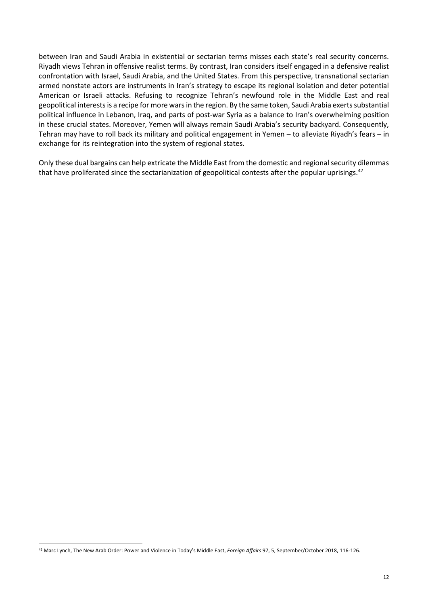between Iran and Saudi Arabia in existential or sectarian terms misses each state's real security concerns. Riyadh views Tehran in offensive realist terms. By contrast, Iran considers itself engaged in a defensive realist confrontation with Israel, Saudi Arabia, and the United States. From this perspective, transnational sectarian armed nonstate actors are instruments in Iran's strategy to escape its regional isolation and deter potential American or Israeli attacks. Refusing to recognize Tehran's newfound role in the Middle East and real geopolitical interests is a recipe for more wars in the region. By the same token, Saudi Arabia exerts substantial political influence in Lebanon, Iraq, and parts of post-war Syria as a balance to Iran's overwhelming position in these crucial states. Moreover, Yemen will always remain Saudi Arabia's security backyard. Consequently, Tehran may have to roll back its military and political engagement in Yemen – to alleviate Riyadh's fears – in exchange for its reintegration into the system of regional states.

Only these dual bargains can help extricate the Middle East from the domestic and regional security dilemmas that have proliferated since the sectarianization of geopolitical contests after the popular uprisings.<sup>42</sup>

<sup>42</sup> Marc Lynch, The New Arab Order: Power and Violence in Today's Middle East, *Foreign Affairs* 97, 5, September/October 2018, 116-126.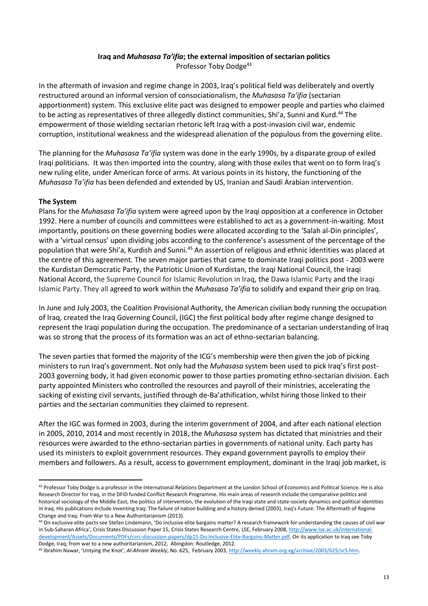#### **Iraq and** *Muhasasa Ta'ifia***; the external imposition of sectarian politics** Professor Toby Dodge<sup>43</sup>

In the aftermath of invasion and regime change in 2003, Iraq's political field was deliberately and overtly restructured around an informal version of consociationalism, the *Muhasasa Ta'ifia* (sectarian apportionment) system. This exclusive elite pact was designed to empower people and parties who claimed to be acting as representatives of three allegedly distinct communities, Shi'a, Sunni and Kurd.<sup>44</sup> The empowerment of those wielding sectarian rhetoric left Iraq with a post-invasion civil war, endemic corruption, institutional weakness and the widespread alienation of the populous from the governing elite.

The planning for the *Muhasasa Ta'ifia* system was done in the early 1990s, by a disparate group of exiled Iraqi politicians. It was then imported into the country, along with those exiles that went on to form Iraq's new ruling elite, under American force of arms. At various points in its history, the functioning of the *Muhasasa Ta'ifia* has been defended and extended by US, Iranian and Saudi Arabian intervention.

#### **The System**

**.** 

Plans for the *Muhasasa Ta'ifia* system were agreed upon by the Iraqi opposition at a conference in October 1992. Here a number of councils and committees were established to act as a government-in-waiting. Most importantly, positions on these governing bodies were allocated according to the 'Salah al-Din principles', with a 'virtual census' upon dividing jobs according to the conference's assessment of the percentage of the population that were Shi'a, Kurdish and Sunni.<sup>45</sup> An assertion of religious and ethnic identities was placed at the centre of this agreement. The seven major parties that came to dominate Iraqi politics post - 2003 were the Kurdistan Democratic Party, the Patriotic Union of Kurdistan, the Iraqi National Council, the Iraqi National Accord, the Supreme Council for Islamic Revolution in Iraq, the Dawa Islamic Party and the Iraqi Islamic Party. They all agreed to work within the *Muhasasa Ta'ifia* to solidify and expand their grip on Iraq.

In June and July 2003, the Coalition Provisional Authority, the American civilian body running the occupation of Iraq, created the Iraq Governing Council, (IGC) the first political body after regime change designed to represent the Iraqi population during the occupation. The predominance of a sectarian understanding of Iraq was so strong that the process of its formation was an act of ethno-sectarian balancing.

The seven parties that formed the majority of the ICG's membership were then given the job of picking ministers to run Iraq's government. Not only had the *Muhasasa* system been used to pick Iraq's first post-2003 governing body, it had given economic power to those parties promoting ethno-sectarian division. Each party appointed Ministers who controlled the resources and payroll of their ministries, accelerating the sacking of existing civil servants, justified through de-Ba'athification, whilst hiring those linked to their parties and the sectarian communities they claimed to represent.

After the IGC was formed in 2003, during the interim government of 2004, and after each national election in 2005, 2010, 2014 and most recently in 2018, the *Muhasasa* system has dictated that ministries and their resources were awarded to the ethno-sectarian parties in governments of national unity. Each party has used its ministers to exploit government resources. They expand government payrolls to employ their members and followers. As a result, access to government employment, dominant in the Iraqi job market, is

<sup>&</sup>lt;sup>43</sup> Professor Toby Dodge is a professor in the International Relations Department at the London School of Economics and Political Science. He is also Research Director for Iraq, in the DFID funded Conflict Research Programme. His main areas of research include the comparative politics and historical sociology of the Middle East, the politics of intervention, the evolution of the Iraqi state and state-society dynamics and political identities in Iraq. His publications include Inventing Iraq: The failure of nation building and a history denied (2003), Iraq's Future: The Aftermath of Regime Change and Iraq: From War to a New Authoritarianism (2013).

<sup>44</sup> On exclusive elite pacts see Stefan Lindemann, 'Do inclusive elite bargains matter? A research framework for understanding the causes of civil war in Sub-Saharan Africa', Crisis States Discussion Paper 15, Crisis States Research Centre, LSE, February 2008[, http://www.lse.ac.uk/international](http://www.lse.ac.uk/international-development/Assets/Documents/PDFs/csrc-discussion-papers/dp15-Do-Inclusive-Elite-Bargains-Matter.pdf)[development/Assets/Documents/PDFs/csrc-discussion-papers/dp15-Do-Inclusive-Elite-Bargains-Matter.pdf.](http://www.lse.ac.uk/international-development/Assets/Documents/PDFs/csrc-discussion-papers/dp15-Do-Inclusive-Elite-Bargains-Matter.pdf) On its application to Iraq see Toby Dodge, Iraq; from war to a new authoritarianism, 2012, Abingdon: Routledge, 2012.

<sup>45</sup> Ibrahim Nawar, 'Untying the Knot', *Al-Ahram Weekly*, No. 625, February 2003[, http://weekly.ahram.org.eg/archive/2003/625/sc5.htm.](http://weekly.ahram.org.eg/archive/2003/625/sc5.htm)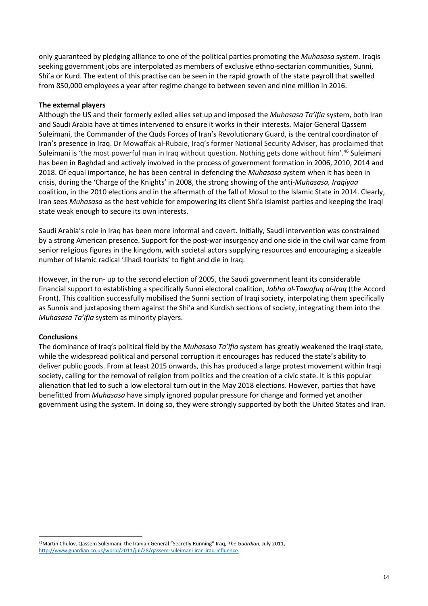only guaranteed by pledging alliance to one of the political parties promoting the *Muhasasa* system. Iraqis seeking government jobs are interpolated as members of exclusive ethno-sectarian communities, Sunni, Shi'a or Kurd. The extent of this practise can be seen in the rapid growth of the state payroll that swelled from 850,000 employees a year after regime change to between seven and nine million in 2016.

#### **The external players**

Although the US and their formerly exiled allies set up and imposed the *Muhasasa Ta'ifia* system, both Iran and Saudi Arabia have at times intervened to ensure it works in their interests. Major General Qassem Suleimani, the Commander of the Quds Forces of Iran's Revolutionary Guard, is the central coordinator of Iran's presence in Iraq. Dr Mowaffak al-Rubaie, Iraq's former National Security Adviser, has proclaimed that Suleimani is 'the most powerful man in Iraq without question. Nothing gets done without him'.<sup>46</sup> Suleimani has been in Baghdad and actively involved in the process of government formation in 2006, 2010, 2014 and 2018. Of equal importance, he has been central in defending the *Muhasasa* system when it has been in crisis, during the 'Charge of the Knights' in 2008, the strong showing of the anti-*Muhasasa, Iraqiyaa* coalition, in the 2010 elections and in the aftermath of the fall of Mosul to the Islamic State in 2014. Clearly, Iran sees *Muhasasa* as the best vehicle for empowering its client Shi'a Islamist parties and keeping the Iraqi state weak enough to secure its own interests.

Saudi Arabia's role in Iraq has been more informal and covert. Initially, Saudi intervention was constrained by a strong American presence. Support for the post-war insurgency and one side in the civil war came from senior religious figures in the kingdom, with societal actors supplying resources and encouraging a sizeable number of Islamic radical 'Jihadi tourists' to fight and die in Iraq.

However, in the run- up to the second election of 2005, the Saudi government leant its considerable financial support to establishing a specifically Sunni electoral coalition, *Jabha al-Tawafuq al-Iraq* (the Accord Front). This coalition successfully mobilised the Sunni section of Iraqi society, interpolating them specifically as Sunnis and juxtaposing them against the Shi'a and Kurdish sections of society, integrating them into the *Muhasasa Ta'ifia* system as minority players.

#### **Conclusions**

The dominance of Iraq's political field by the *Muhasasa Ta'ifia* system has greatly weakened the Iraqi state, while the widespread political and personal corruption it encourages has reduced the state's ability to deliver public goods. From at least 2015 onwards, this has produced a large protest movement within Iraqi society, calling for the removal of religion from politics and the creation of a civic state. It is this popular alienation that led to such a low electoral turn out in the May 2018 elections. However, parties that have benefitted from *Muhasasa* have simply ignored popular pressure for change and formed yet another government using the system. In doing so, they were strongly supported by both the United States and Iran.

<sup>1</sup> <sup>46</sup>Martin Chulov, Qassem Suleimani: the Iranian General "Secretly Running" Iraq, *The Guardian*, July 2011, [http://www.guardian.co.uk/world/2011/jul/28/qassem-suleimani-iran-iraq-influence.](http://www.guardian.co.uk/world/2011/jul/28/qassem-suleimani-iran-iraq-influence)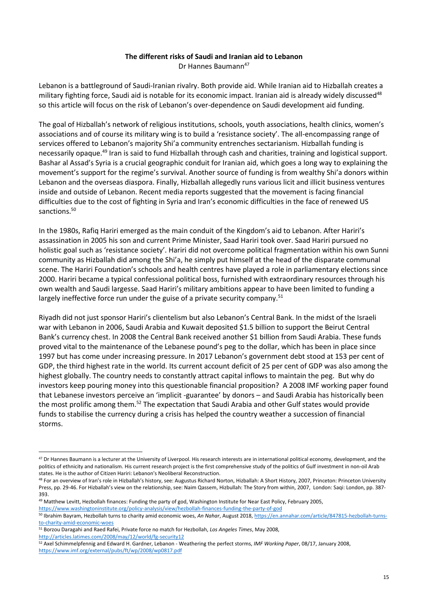#### **The different risks of Saudi and Iranian aid to Lebanon**

Dr Hannes Baumann<sup>47</sup>

Lebanon is a battleground of Saudi-Iranian rivalry. Both provide aid. While Iranian aid to Hizballah creates a military fighting force, Saudi aid is notable for its economic impact. Iranian aid is already widely discussed<sup>48</sup> so this article will focus on the risk of Lebanon's over-dependence on Saudi development aid funding.

The goal of Hizballah's network of religious institutions, schools, youth associations, health clinics, women's associations and of course its military wing is to build a 'resistance society'. The all-encompassing range of services offered to Lebanon's majority Shi'a community entrenches sectarianism. Hizballah funding is necessarily opaque.<sup>49</sup> Iran is said to fund Hizballah through cash and charities, training and logistical support. Bashar al Assad's Syria is a crucial geographic conduit for Iranian aid, which goes a long way to explaining the movement's support for the regime's survival. Another source of funding is from wealthy Shi'a donors within Lebanon and the overseas diaspora. Finally, Hizballah allegedly runs various licit and illicit business ventures inside and outside of Lebanon. Recent media reports suggested that the movement is facing financial difficulties due to the cost of fighting in Syria and Iran's economic difficulties in the face of renewed US sanctions.<sup>50</sup>

In the 1980s, Rafiq Hariri emerged as the main conduit of the Kingdom's aid to Lebanon. After Hariri's assassination in 2005 his son and current Prime Minister, Saad Hariri took over. Saad Hariri pursued no holistic goal such as 'resistance society'. Hariri did not overcome political fragmentation within his own Sunni community as Hizballah did among the Shi'a, he simply put himself at the head of the disparate communal scene. The Hariri Foundation's schools and health centres have played a role in parliamentary elections since 2000. Hariri became a typical confessional political boss, furnished with extraordinary resources through his own wealth and Saudi largesse. Saad Hariri's military ambitions appear to have been limited to funding a largely ineffective force run under the guise of a private security company.<sup>51</sup>

Riyadh did not just sponsor Hariri's clientelism but also Lebanon's Central Bank. In the midst of the Israeli war with Lebanon in 2006, Saudi Arabia and Kuwait deposited \$1.5 billion to support the Beirut Central Bank's currency chest. In 2008 the Central Bank received another \$1 billion from Saudi Arabia. These funds proved vital to the maintenance of the Lebanese pound's peg to the dollar, which has been in place since 1997 but has come under increasing pressure. In 2017 Lebanon's government debt stood at 153 per cent of GDP, the third highest rate in the world. Its current account deficit of 25 per cent of GDP was also among the highest globally. The country needs to constantly attract capital inflows to maintain the peg. But why do investors keep pouring money into this questionable financial proposition? A 2008 IMF working paper found that Lebanese investors perceive an 'implicit -guarantee' by donors – and Saudi Arabia has historically been the most prolific among them.<sup>52</sup> The expectation that Saudi Arabia and other Gulf states would provide funds to stabilise the currency during a crisis has helped the country weather a succession of financial storms.

<sup>&</sup>lt;sup>47</sup> Dr Hannes Baumann is a lecturer at the University of Liverpool. His research interests are in international political economy, development, and the politics of ethnicity and nationalism. His current research project is the first comprehensive study of the politics of Gulf investment in non-oil Arab states. He is the author of Citizen Hariri: Lebanon's Neoliberal Reconstruction.

<sup>&</sup>lt;sup>48</sup> For an overview of Iran's role in Hizballah's history, see: Augustus Richard Norton, Hizballah: A Short History, 2007, Princeton: Princeton University Press, pp. 29-46. For Hizballah's view on the relationship, see: Naim Qassem, Hizbullah: The Story from within, 2007, London: Saqi: London, pp. 387- 393.

<sup>49</sup> Matthew Levitt, Hezbollah finances: Funding the party of god, Washington Institute for Near East Policy, February 2005, <https://www.washingtoninstitute.org/policy-analysis/view/hezbollah-finances-funding-the-party-of-god>

<sup>50</sup> Ibrahim Bayram, Hezbollah turns to charity amid economic woes, *An Nahar*, August 2018[, https://en.annahar.com/article/847815-hezbollah-turns](https://en.annahar.com/article/847815-hezbollah-turns-to-charity-amid-economic-woes)[to-charity-amid-economic-woes](https://en.annahar.com/article/847815-hezbollah-turns-to-charity-amid-economic-woes)

<sup>51</sup> Borzou Daragahi and Raed Rafei, Private force no match for Hezbollah, *Los Angeles Times*, May 2008, <http://articles.latimes.com/2008/may/12/world/fg-security12>

<sup>52</sup> Axel Schimmelpfennig and Edward H. Gardner, Lebanon - Weathering the perfect storms, *IMF Working Paper*, 08/17, January 2008, <https://www.imf.org/external/pubs/ft/wp/2008/wp0817.pdf>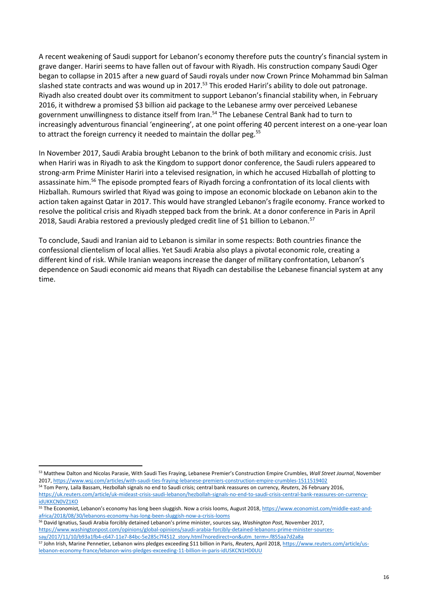A recent weakening of Saudi support for Lebanon's economy therefore puts the country's financial system in grave danger. Hariri seems to have fallen out of favour with Riyadh. His construction company Saudi Oger began to collapse in 2015 after a new guard of Saudi royals under now Crown Prince Mohammad bin Salman slashed state contracts and was wound up in 2017.<sup>53</sup> This eroded Hariri's ability to dole out patronage. Riyadh also created doubt over its commitment to support Lebanon's financial stability when, in February 2016, it withdrew a promised \$3 billion aid package to the Lebanese army over perceived Lebanese government unwillingness to distance itself from Iran.<sup>54</sup> The Lebanese Central Bank had to turn to increasingly adventurous financial 'engineering', at one point offering 40 percent interest on a one-year loan to attract the foreign currency it needed to maintain the dollar peg.<sup>55</sup>

In November 2017, Saudi Arabia brought Lebanon to the brink of both military and economic crisis. Just when Hariri was in Riyadh to ask the Kingdom to support donor conference, the Saudi rulers appeared to strong-arm Prime Minister Hariri into a televised resignation, in which he accused Hizballah of plotting to assassinate him.<sup>56</sup> The episode prompted fears of Riyadh forcing a confrontation of its local clients with Hizballah. Rumours swirled that Riyad was going to impose an economic blockade on Lebanon akin to the action taken against Qatar in 2017. This would have strangled Lebanon's fragile economy. France worked to resolve the political crisis and Riyadh stepped back from the brink. At a donor conference in Paris in April 2018, Saudi Arabia restored a previously pledged credit line of \$1 billion to Lebanon.<sup>57</sup>

To conclude, Saudi and Iranian aid to Lebanon is similar in some respects: Both countries finance the confessional clientelism of local allies. Yet Saudi Arabia also plays a pivotal economic role, creating a different kind of risk. While Iranian weapons increase the danger of military confrontation, Lebanon's dependence on Saudi economic aid means that Riyadh can destabilise the Lebanese financial system at any time.

<sup>53</sup> Matthew Dalton and Nicolas Parasie, With Saudi Ties Fraying, Lebanese Premier's Construction Empire Crumbles, *Wall Street Journal*, November 2017[, https://www.wsj.com/articles/with-saudi-ties-fraying-lebanese-premiers-construction-empire-crumbles-1511519402](https://www.wsj.com/articles/with-saudi-ties-fraying-lebanese-premiers-construction-empire-crumbles-1511519402)

<sup>54</sup> Tom Perry, Laila Bassam, Hezbollah signals no end to Saudi crisis; central bank reassures on currency, *Reuters*, 26 February 2016, [https://uk.reuters.com/article/uk-mideast-crisis-saudi-lebanon/hezbollah-signals-no-end-to-saudi-crisis-central-bank-reassures-on-currency](https://uk.reuters.com/article/uk-mideast-crisis-saudi-lebanon/hezbollah-signals-no-end-to-saudi-crisis-central-bank-reassures-on-currency-idUKKCN0VZ1KO)[idUKKCN0VZ1KO](https://uk.reuters.com/article/uk-mideast-crisis-saudi-lebanon/hezbollah-signals-no-end-to-saudi-crisis-central-bank-reassures-on-currency-idUKKCN0VZ1KO)

<sup>55</sup> The Economist, Lebanon's economy has long been sluggish. Now a crisis looms, August 2018, [https://www.economist.com/middle-east-and](https://www.economist.com/middle-east-and-africa/2018/08/30/lebanons-economy-has-long-been-sluggish-now-a-crisis-looms)[africa/2018/08/30/lebanons-economy-has-long-been-sluggish-now-a-crisis-looms](https://www.economist.com/middle-east-and-africa/2018/08/30/lebanons-economy-has-long-been-sluggish-now-a-crisis-looms)

<sup>56</sup> David Ignatius, Saudi Arabia forcibly detained Lebanon's prime minister, sources say, *Washington Post*, November 2017, [https://www.washingtonpost.com/opinions/global-opinions/saudi-arabia-forcibly-detained-lebanons-prime-minister-sources](https://www.washingtonpost.com/opinions/global-opinions/saudi-arabia-forcibly-detained-lebanons-prime-minister-sources-say/2017/11/10/b93a1fb4-c647-11e7-84bc-5e285c7f4512_story.html?noredirect=on&utm_term=.f855aa7d2a8a)[say/2017/11/10/b93a1fb4-c647-11e7-84bc-5e285c7f4512\\_story.html?noredirect=on&utm\\_term=.f855aa7d2a8a](https://www.washingtonpost.com/opinions/global-opinions/saudi-arabia-forcibly-detained-lebanons-prime-minister-sources-say/2017/11/10/b93a1fb4-c647-11e7-84bc-5e285c7f4512_story.html?noredirect=on&utm_term=.f855aa7d2a8a)

<sup>57</sup> John Irish, Marine Pennetier, Lebanon wins pledges exceeding \$11 billion in Paris, *Reuters*, April 2018[, https://www.reuters.com/article/us](https://www.reuters.com/article/us-lebanon-economy-france/lebanon-wins-pledges-exceeding-11-billion-in-paris-idUSKCN1HD0UU)[lebanon-economy-france/lebanon-wins-pledges-exceeding-11-billion-in-paris-idUSKCN1HD0UU](https://www.reuters.com/article/us-lebanon-economy-france/lebanon-wins-pledges-exceeding-11-billion-in-paris-idUSKCN1HD0UU)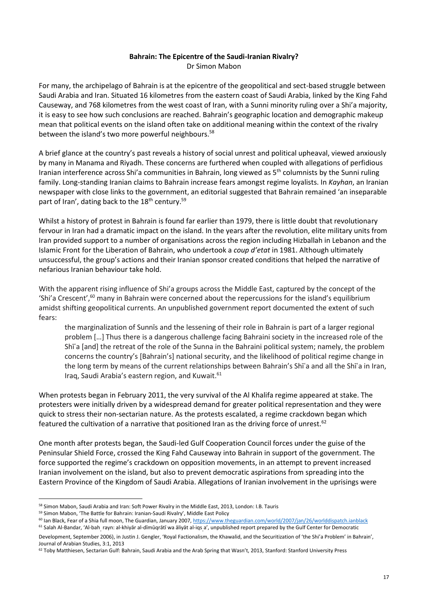#### **Bahrain: The Epicentre of the Saudi-Iranian Rivalry?** Dr Simon Mabon

For many, the archipelago of Bahrain is at the epicentre of the geopolitical and sect-based struggle between Saudi Arabia and Iran. Situated 16 kilometres from the eastern coast of Saudi Arabia, linked by the King Fahd Causeway, and 768 kilometres from the west coast of Iran, with a Sunni minority ruling over a Shi'a majority, it is easy to see how such conclusions are reached. Bahrain's geographic location and demographic makeup mean that political events on the island often take on additional meaning within the context of the rivalry between the island's two more powerful neighbours.<sup>58</sup>

A brief glance at the country's past reveals a history of social unrest and political upheaval, viewed anxiously by many in Manama and Riyadh. These concerns are furthered when coupled with allegations of perfidious Iranian interference across Shi'a communities in Bahrain, long viewed as 5<sup>th</sup> columnists by the Sunni ruling family. Long-standing Iranian claims to Bahrain increase fears amongst regime loyalists. In *Kayhan*, an Iranian newspaper with close links to the government, an editorial suggested that Bahrain remained 'an inseparable part of Iran', dating back to the 18<sup>th</sup> century.<sup>59</sup>

Whilst a history of protest in Bahrain is found far earlier than 1979, there is little doubt that revolutionary fervour in Iran had a dramatic impact on the island. In the years after the revolution, elite military units from Iran provided support to a number of organisations across the region including Hizballah in Lebanon and the Islamic Front for the Liberation of Bahrain, who undertook a *coup d'etat* in 1981. Although ultimately unsuccessful, the group's actions and their Iranian sponsor created conditions that helped the narrative of nefarious Iranian behaviour take hold.

With the apparent rising influence of Shi'a groups across the Middle East, captured by the concept of the 'Shi'a Crescent', $60$  many in Bahrain were concerned about the repercussions for the island's equilibrium amidst shifting geopolitical currents. An unpublished government report documented the extent of such fears:

the marginalization of Sunnīs and the lessening of their role in Bahrain is part of a larger regional problem […] Thus there is a dangerous challenge facing Bahraini society in the increased role of the Shīʿa [and] the retreat of the role of the Sunna in the Bahraini political system; namely, the problem concerns the country's [Bahrain's] national security, and the likelihood of political regime change in the long term by means of the current relationships between Bahrain's Shī'a and all the Shī'a in Iran, Iraq, Saudi Arabia's eastern region, and Kuwait.<sup>61</sup>

When protests began in February 2011, the very survival of the Al Khalifa regime appeared at stake. The protesters were initially driven by a widespread demand for greater political representation and they were quick to stress their non-sectarian nature. As the protests escalated, a regime crackdown began which featured the cultivation of a narrative that positioned Iran as the driving force of unrest.<sup>62</sup>

One month after protests began, the Saudi-led Gulf Cooperation Council forces under the guise of the Peninsular Shield Force, crossed the King Fahd Causeway into Bahrain in support of the government. The force supported the regime's crackdown on opposition movements, in an attempt to prevent increased Iranian involvement on the island, but also to prevent democratic aspirations from spreading into the Eastern Province of the Kingdom of Saudi Arabia. Allegations of Iranian involvement in the uprisings were

<sup>58</sup> Simon Mabon, Saudi Arabia and Iran: Soft Power Rivalry in the Middle East, 2013, London: I.B. Tauris

<sup>59</sup> Simon Mabon, 'The Battle for Bahrain: Iranian-Saudi Rivalry', Middle East Policy

<sup>60</sup> Ian Black, Fear of a Shia full moon, The Guardian, January 2007[, https://www.theguardian.com/world/2007/jan/26/worlddispatch.ianblack](https://www.theguardian.com/world/2007/jan/26/worlddispatch.ianblack)

<sup>&</sup>lt;sup>61</sup> Salah Al-Bandar, 'Al-bah rayn: al-khiyār al-dīmūqrātī wa āliyāt al-iqs a', unpublished report prepared by the Gulf Center for Democratic Development, September 2006), in Justin J. Gengler, 'Royal Factionalism, the Khawalid, and the Securitization of 'the Shi'a Problem' in Bahrain', Journal of Arabian Studies, 3:1, 2013

<sup>&</sup>lt;sup>62</sup> Toby Matthiesen, Sectarian Gulf: Bahrain, Saudi Arabia and the Arab Spring that Wasn't, 2013, Stanford: Stanford University Press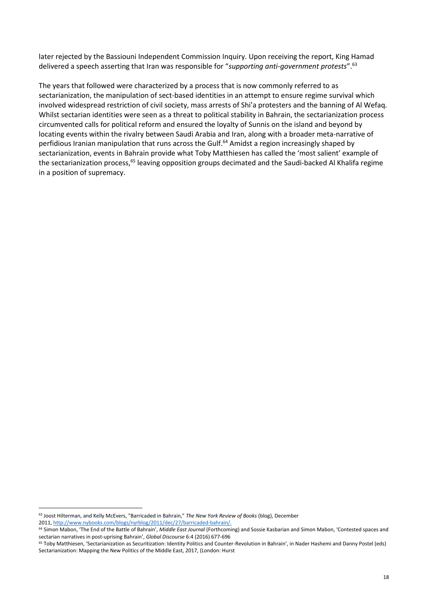later rejected by the Bassiouni Independent Commission Inquiry. Upon receiving the report, King Hamad delivered a speech asserting that Iran was responsible for "*supporting anti-government protests*".<sup>63</sup>

The years that followed were characterized by a process that is now commonly referred to as sectarianization, the manipulation of sect-based identities in an attempt to ensure regime survival which involved widespread restriction of civil society, mass arrests of Shi'a protesters and the banning of Al Wefaq. Whilst sectarian identities were seen as a threat to political stability in Bahrain, the sectarianization process circumvented calls for political reform and ensured the loyalty of Sunnis on the island and beyond by locating events within the rivalry between Saudi Arabia and Iran, along with a broader meta-narrative of perfidious Iranian manipulation that runs across the Gulf.<sup>64</sup> Amidst a region increasingly shaped by sectarianization, events in Bahrain provide what Toby Matthiesen has called the 'most salient' example of the sectarianization process,<sup>65</sup> leaving opposition groups decimated and the Saudi-backed Al Khalifa regime in a position of supremacy.

1

<sup>63</sup> Joost Hilterman, and Kelly McEvers, "Barricaded in Bahrain," *The New York Review of Books* (blog), December 2011, [http://www.nybooks.com/blogs/nyrblog/2011/dec/27/barricaded-bahrain/.](http://www.nybooks.com/blogs/nyrblog/2011/dec/27/barricaded-bahrain/)

<sup>&</sup>lt;sup>64</sup> Simon Mabon, 'The End of the Battle of Bahrain', Middle East Journal (Forthcoming) and Sossie Kasbarian and Simon Mabon, 'Contested spaces and sectarian narratives in post-uprising Bahrain', *Global Discourse* 6:4 (2016) 677-696

<sup>65</sup> Toby Matthiesen, 'Sectarianization as Securitization: Identity Politics and Counter-Revolution in Bahrain', in Nader Hashemi and Danny Postel (eds) Sectarianization: Mapping the New Politics of the Middle East, 2017, (London: Hurst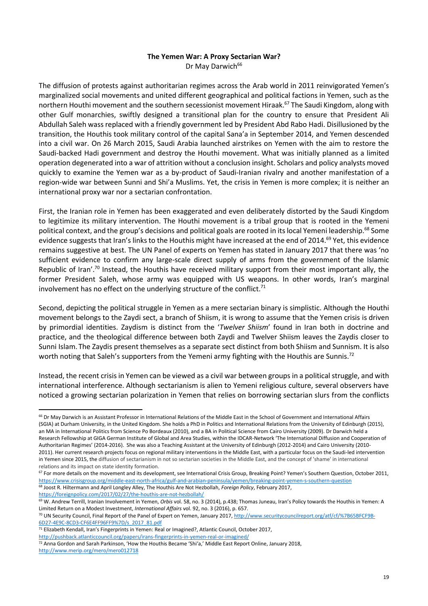#### **The Yemen War: A Proxy Sectarian War?**

Dr May Darwich<sup>66</sup>

The diffusion of protests against authoritarian regimes across the Arab world in 2011 reinvigorated Yemen's marginalized social movements and united different geographical and political factions in Yemen, such as the northern Houthi movement and the southern secessionist movement Hiraak.<sup>67</sup> The Saudi Kingdom, along with other Gulf monarchies, swiftly designed a transitional plan for the country to ensure that President Ali Abdullah Saleh wass replaced with a friendly government led by President Abd Rabo Hadi. Disillusioned by the transition, the Houthis took military control of the capital Sana'a in September 2014, and Yemen descended into a civil war. On 26 March 2015, Saudi Arabia launched airstrikes on Yemen with the aim to restore the Saudi-backed Hadi government and destroy the Houthi movement. What was initially planned as a limited operation degenerated into a war of attrition without a conclusion insight. Scholars and policy analysts moved quickly to examine the Yemen war as a by-product of Saudi-Iranian rivalry and another manifestation of a region-wide war between Sunni and Shi'a Muslims. Yet, the crisis in Yemen is more complex; it is neither an international proxy war nor a sectarian confrontation.

First, the Iranian role in Yemen has been exaggerated and even deliberately distorted by the Saudi Kingdom to legitimize its military intervention. The Houthi movement is a tribal group that is rooted in the Yemeni political context, and the group's decisions and political goals are rooted in its local Yemeni leadership.<sup>68</sup> Some evidence suggests that Iran's links to the Houthis might have increased at the end of 2014.<sup>69</sup> Yet, this evidence remains suggestive at best. The UN Panel of experts on Yemen has stated in January 2017 that there was 'no sufficient evidence to confirm any large-scale direct supply of arms from the government of the Islamic Republic of Iran'.<sup>70</sup> Instead, the Houthis have received military support from their most important ally, the former President Saleh, whose army was equipped with US weapons. In other words, Iran's marginal involvement has no effect on the underlying structure of the conflict. $71$ 

Second, depicting the political struggle in Yemen as a mere sectarian binary is simplistic. Although the Houthi movement belongs to the Zaydi sect, a branch of Shiism, it is wrong to assume that the Yemen crisis is driven by primordial identities. Zaydism is distinct from the '*Twelver Shiism*' found in Iran both in doctrine and practice, and the theological difference between both Zaydi and Twelver Shiism leaves the Zaydis closer to Sunni Islam. The Zaydis present themselves as a separate sect distinct from both Shiism and Sunnism. It is also worth noting that Saleh's supporters from the Yemeni army fighting with the Houthis are Sunnis.<sup>72</sup>

Instead, the recent crisis in Yemen can be viewed as a civil war between groups in a political struggle, and with international interference. Although sectarianism is alien to Yemeni religious culture, several observers have noticed a growing sectarian polarization in Yemen that relies on borrowing sectarian slurs from the conflicts

<https://foreignpolicy.com/2017/02/27/the-houthis-are-not-hezbollah/>

1

<sup>71</sup> Elizabeth Kendall, Iran's Fingerprints in Yemen: Real or Imagined?, Atlantic Council, October 2017, <http://pushback.atlanticcouncil.org/papers/irans-fingerprints-in-yemen-real-or-imagined/>

<sup>&</sup>lt;sup>66</sup> Dr May Darwich is an Assistant Professor in International Relations of the Middle East in the School of Government and International Affairs (SGIA) at Durham University, in the United Kingdom. She holds a PhD in Politics and International Relations from the University of Edinburgh (2015), an MA in International Politics from Science Po Bordeaux (2010), and a BA in Political Science from Cairo University (2009). Dr Darwich held a Research Fellowship at GIGA German Institute of Global and Area Studies, within the IDCAR-Network 'The International Diffusion and Cooperation of Authoritarian Regimes' (2014-2016). She was also a Teaching Assistant at the University of Edinburgh (2012-2014) and Cairo University (2010- 2011). Her current research projects focus on regional military interventions in the Middle East, with a particular focus on the Saudi-led intervention in Yemen since 2015, the diffusion of sectarianism in not so sectarian societies in the Middle East, and the concept of 'shame' in international relations and its impact on state identity formation.

 $67$  For more details on the movement and its development, see International Crisis Group, Breaking Point? Yemen's Southern Question, October 2011, <https://www.crisisgroup.org/middle-east-north-africa/gulf-and-arabian-peninsula/yemen/breaking-point-yemen-s-southern-question> <sup>68</sup> Joost R. Hiltermann and April Longley Alley, The Houthis Are Not Hezbollah, *Foreign Policy*, February 2017,

<sup>69</sup> W. Andrew Terrill, Iranian Involvement in Yemen, *Orbis* vol. 58, no. 3 (2014), p.438; Thomas Juneau, Iran's Policy towards the Houthis in Yemen: A Limited Return on a Modest Investment, *International Affairs* vol. 92, no. 3 (2016), p. 657.

<sup>&</sup>lt;sup>70</sup> UN Security Council, Final Report of the Panel of Expert on Yemen, January 2017[, http://www.securitycouncilreport.org/atf/cf/%7B65BFCF9B-](http://www.securitycouncilreport.org/atf/cf/%7B65BFCF9B-6D27-4E9C-8CD3-CF6E4FF96FF9%7D/s_2017_81.pdf)[6D27-4E9C-8CD3-CF6E4FF96FF9%7D/s\\_2017\\_81.pdf](http://www.securitycouncilreport.org/atf/cf/%7B65BFCF9B-6D27-4E9C-8CD3-CF6E4FF96FF9%7D/s_2017_81.pdf)

<sup>72</sup> Anna Gordon and Sarah Parkinson, 'How the Houthis Became 'Shi'a,' Middle East Report Online, January 2018, <http://www.merip.org/mero/mero012718>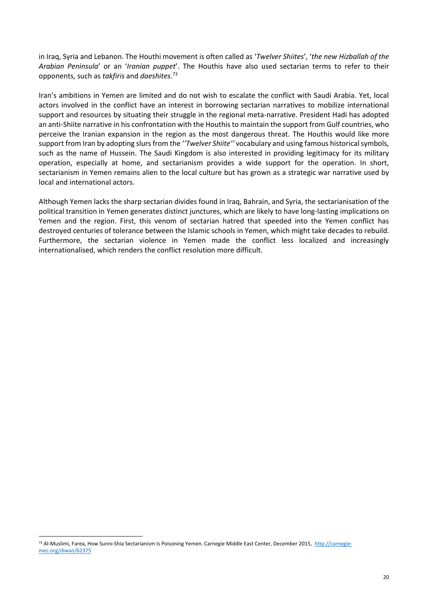in Iraq, Syria and Lebanon. The Houthi movement is often called as '*Twelver Shiites*', '*the new Hizballah of the Arabian Peninsula*' or an '*Iranian puppet*'. The Houthis have also used sectarian terms to refer to their opponents, such as *takfiris* and *daeshites*. 73

Iran's ambitions in Yemen are limited and do not wish to escalate the conflict with Saudi Arabia. Yet, local actors involved in the conflict have an interest in borrowing sectarian narratives to mobilize international support and resources by situating their struggle in the regional meta-narrative. President Hadi has adopted an anti-Shiite narrative in his confrontation with the Houthis to maintain the support from Gulf countries, who perceive the Iranian expansion in the region as the most dangerous threat. The Houthis would like more support from Iran by adopting slurs from the '*'Twelver Shiite''* vocabulary and using famous historical symbols, such as the name of Hussein. The Saudi Kingdom is also interested in providing legitimacy for its military operation, especially at home, and sectarianism provides a wide support for the operation. In short, sectarianism in Yemen remains alien to the local culture but has grown as a strategic war narrative used by local and international actors.

Although Yemen lacks the sharp sectarian divides found in Iraq, Bahrain, and Syria, the sectarianisation of the political transition in Yemen generates distinct junctures, which are likely to have long-lasting implications on Yemen and the region. First, this venom of sectarian hatred that speeded into the Yemen conflict has destroyed centuries of tolerance between the Islamic schools in Yemen, which might take decades to rebuild. Furthermore, the sectarian violence in Yemen made the conflict less localized and increasingly internationalised, which renders the conflict resolution more difficult.

1

<sup>73</sup> Al-Muslimi, Farea, How Sunni-Shia Sectarianism Is Poisoning Yemen. Carnegie Middle East Center, December 2015, [http://carnegie](http://carnegie-mec.org/diwan/62375)[mec.org/diwan/62375](http://carnegie-mec.org/diwan/62375)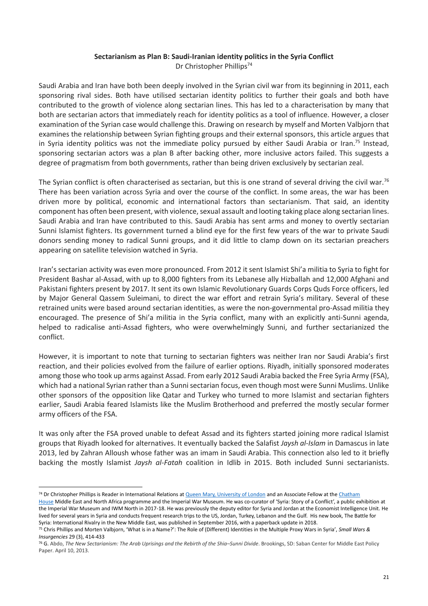#### **Sectarianism as Plan B: Saudi-Iranian identity politics in the Syria Conflict** Dr Christopher Phillips<sup>74</sup>

Saudi Arabia and Iran have both been deeply involved in the Syrian civil war from its beginning in 2011, each sponsoring rival sides. Both have utilised sectarian identity politics to further their goals and both have contributed to the growth of violence along sectarian lines. This has led to a characterisation by many that both are sectarian actors that immediately reach for identity politics as a tool of influence. However, a closer examination of the Syrian case would challenge this. Drawing on research by myself and Morten Valbjorn that examines the relationship between Syrian fighting groups and their external sponsors, this article argues that in Syria identity politics was not the immediate policy pursued by either Saudi Arabia or Iran.<sup>75</sup> Instead, sponsoring sectarian actors was a plan B after backing other, more inclusive actors failed. This suggests a degree of pragmatism from both governments, rather than being driven exclusively by sectarian zeal.

The Syrian conflict is often characterised as sectarian, but this is one strand of several driving the civil war.<sup>76</sup> There has been variation across Syria and over the course of the conflict. In some areas, the war has been driven more by political, economic and international factors than sectarianism. That said, an identity component has often been present, with violence, sexual assault and looting taking place along sectarian lines. Saudi Arabia and Iran have contributed to this. Saudi Arabia has sent arms and money to overtly sectarian Sunni Islamist fighters. Its government turned a blind eye for the first few years of the war to private Saudi donors sending money to radical Sunni groups, and it did little to clamp down on its sectarian preachers appearing on satellite television watched in Syria.

Iran's sectarian activity was even more pronounced. From 2012 it sent Islamist Shi'a militia to Syria to fight for President Bashar al-Assad, with up to 8,000 fighters from its Lebanese ally Hizballah and 12,000 Afghani and Pakistani fighters present by 2017. It sent its own Islamic Revolutionary Guards Corps Quds Force officers, led by Major General Qassem Suleimani, to direct the war effort and retrain Syria's military. Several of these retrained units were based around sectarian identities, as were the non-governmental pro-Assad militia they encouraged. The presence of Shi'a militia in the Syria conflict, many with an explicitly anti-Sunni agenda, helped to radicalise anti-Assad fighters, who were overwhelmingly Sunni, and further sectarianized the conflict.

However, it is important to note that turning to sectarian fighters was neither Iran nor Saudi Arabia's first reaction, and their policies evolved from the failure of earlier options. Riyadh, initially sponsored moderates among those who took up arms against Assad. From early 2012 Saudi Arabia backed the Free Syria Army (FSA), which had a national Syrian rather than a Sunni sectarian focus, even though most were Sunni Muslims. Unlike other sponsors of the opposition like Qatar and Turkey who turned to more Islamist and sectarian fighters earlier, Saudi Arabia feared Islamists like the Muslim Brotherhood and preferred the mostly secular former army officers of the FSA.

It was only after the FSA proved unable to defeat Assad and its fighters started joining more radical Islamist groups that Riyadh looked for alternatives. It eventually backed the Salafist *Jaysh al-Islam* in Damascus in late 2013, led by Zahran Alloush whose father was an imam in Saudi Arabia. This connection also led to it briefly backing the mostly Islamist *Jaysh al-Fatah* coalition in Idlib in 2015. Both included Sunni sectarianists.

<sup>&</sup>lt;sup>74</sup> Dr Christopher Phillips is Reader in International Relations at Queen Mary, University of London and an Associate Fellow at the Chatham

House Middle East and North Africa programme and the Imperial War Museum. He was co-curator of 'Syria: Story of a Conflict', a public exhibition at the Imperial War Museum and IWM North in 2017-18. He was previously the deputy editor for Syria and Jordan at the Economist Intelligence Unit. He lived for several years in Syria and conducts frequent research trips to the US, Jordan, Turkey, Lebanon and the Gulf. His new book, The Battle for Syria: International Rivalry in the New Middle East, was published in September 2016, with a paperback update in 2018.

<sup>75</sup> Chris Phillips and Morten Valbjorn, 'What is in a Name?': The Role of (Different) Identities in the Multiple Proxy Wars in Syria', *Small Wars & Insurgencies* 29 (3), 414-433

<sup>76</sup> G. Abdo, *The New Sectarianism: The Arab Uprisings and the Rebirth of the Shia–Sunni Divide*. Brookings, SD: Saban Center for Middle East Policy Paper. April 10, 2013.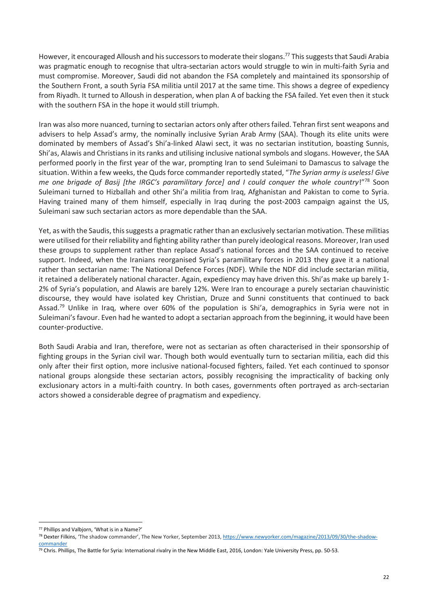However, it encouraged Alloush and his successors to moderate their slogans.<sup>77</sup> This suggests that Saudi Arabia was pragmatic enough to recognise that ultra-sectarian actors would struggle to win in multi-faith Syria and must compromise. Moreover, Saudi did not abandon the FSA completely and maintained its sponsorship of the Southern Front, a south Syria FSA militia until 2017 at the same time. This shows a degree of expediency from Riyadh. It turned to Alloush in desperation, when plan A of backing the FSA failed. Yet even then it stuck with the southern FSA in the hope it would still triumph.

Iran was also more nuanced, turning to sectarian actors only after others failed. Tehran first sent weapons and advisers to help Assad's army, the nominally inclusive Syrian Arab Army (SAA). Though its elite units were dominated by members of Assad's Shi'a-linked Alawi sect, it was no sectarian institution, boasting Sunnis, Shi'as, Alawis and Christians in its ranks and utilising inclusive national symbols and slogans. However, the SAA performed poorly in the first year of the war, prompting Iran to send Suleimani to Damascus to salvage the situation. Within a few weeks, the Quds force commander reportedly stated, "*The Syrian army is useless! Give me one brigade of Basij [the IRGC's paramilitary force] and I could conquer the whole country*!"<sup>78</sup> Soon Suleimani turned to Hizballah and other Shi'a militia from Iraq, Afghanistan and Pakistan to come to Syria. Having trained many of them himself, especially in Iraq during the post-2003 campaign against the US, Suleimani saw such sectarian actors as more dependable than the SAA.

Yet, as with the Saudis, this suggests a pragmatic rather than an exclusively sectarian motivation. These militias were utilised for their reliability and fighting ability rather than purely ideological reasons. Moreover, Iran used these groups to supplement rather than replace Assad's national forces and the SAA continued to receive support. Indeed, when the Iranians reorganised Syria's paramilitary forces in 2013 they gave it a national rather than sectarian name: The National Defence Forces (NDF). While the NDF did include sectarian militia, it retained a deliberately national character. Again, expediency may have driven this. Shi'as make up barely 1- 2% of Syria's population, and Alawis are barely 12%. Were Iran to encourage a purely sectarian chauvinistic discourse, they would have isolated key Christian, Druze and Sunni constituents that continued to back Assad.<sup>79</sup> Unlike in Iraq, where over 60% of the population is Shi'a, demographics in Syria were not in Suleimani's favour. Even had he wanted to adopt a sectarian approach from the beginning, it would have been counter-productive.

Both Saudi Arabia and Iran, therefore, were not as sectarian as often characterised in their sponsorship of fighting groups in the Syrian civil war. Though both would eventually turn to sectarian militia, each did this only after their first option, more inclusive national-focused fighters, failed. Yet each continued to sponsor national groups alongside these sectarian actors, possibly recognising the impracticality of backing only exclusionary actors in a multi-faith country. In both cases, governments often portrayed as arch-sectarian actors showed a considerable degree of pragmatism and expediency.

**<sup>.</sup>** <sup>77</sup> Phillips and Valbjorn, 'What is in a Name?'

<sup>78</sup> Dexter Filkins, 'The shadow commander', The New Yorker, September 2013, [https://www.newyorker.com/magazine/2013/09/30/the-shadow](https://www.newyorker.com/magazine/2013/09/30/the-shadow-commander)[commander](https://www.newyorker.com/magazine/2013/09/30/the-shadow-commander)

<sup>79</sup> Chris. Phillips, The Battle for Syria: International rivalry in the New Middle East, 2016, London: Yale University Press, pp. 50-53.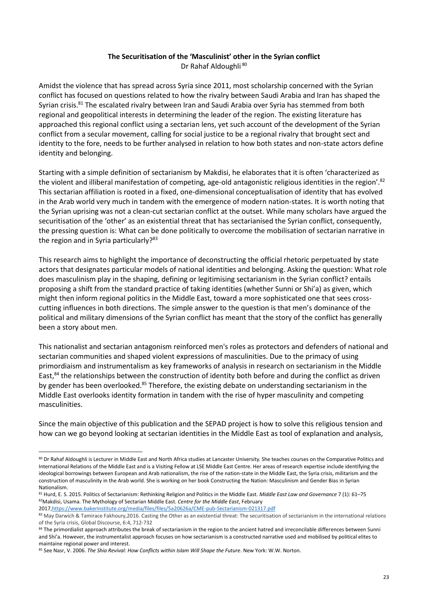#### **The Securitisation of the 'Masculinist' other in the Syrian conflict** Dr Rahaf Aldoughli<sup>80</sup>

Amidst the violence that has spread across Syria since 2011, most scholarship concerned with the Syrian conflict has focused on questions related to how the rivalry between Saudi Arabia and Iran has shaped the Syrian crisis.<sup>81</sup> The escalated rivalry between Iran and Saudi Arabia over Syria has stemmed from both regional and geopolitical interests in determining the leader of the region. The existing literature has approached this regional conflict using a sectarian lens, yet such account of the development of the Syrian conflict from a secular movement, calling for social justice to be a regional rivalry that brought sect and identity to the fore, needs to be further analysed in relation to how both states and non-state actors define identity and belonging.

Starting with a simple definition of sectarianism by Makdisi, he elaborates that it is often 'characterized as the violent and illiberal manifestation of competing, age-old antagonistic religious identities in the region'.<sup>82</sup> This sectarian affiliation is rooted in a fixed, one-dimensional conceptualisation of identity that has evolved in the Arab world very much in tandem with the emergence of modern nation-states. It is worth noting that the Syrian uprising was not a clean-cut sectarian conflict at the outset. While many scholars have argued the securitisation of the 'other' as an existential threat that has sectarianised the Syrian conflict, consequently, the pressing question is: What can be done politically to overcome the mobilisation of sectarian narrative in the region and in Syria particularly?<sup>83</sup>

This research aims to highlight the importance of deconstructing the official rhetoric perpetuated by state actors that designates particular models of national identities and belonging. Asking the question: What role does masculinism play in the shaping, defining or legitimising sectarianism in the Syrian conflict? entails proposing a shift from the standard practice of taking identities (whether Sunni or Shi'a) as given, which might then inform regional politics in the Middle East, toward a more sophisticated one that sees crosscutting influences in both directions. The simple answer to the question is that men's dominance of the political and military dimensions of the Syrian conflict has meant that the story of the conflict has generally been a story about men.

This nationalist and sectarian antagonism reinforced men's roles as protectors and defenders of national and sectarian communities and shaped violent expressions of masculinities. Due to the primacy of using primordiaism and instrumentalism as key frameworks of analysis in research on sectarianism in the Middle East,<sup>84</sup> the relationships between the construction of identity both before and during the conflict as driven by gender has been overlooked.<sup>85</sup> Therefore, the existing debate on understanding sectarianism in the Middle East overlooks identity formation in tandem with the rise of hyper masculinity and competing masculinities.

Since the main objective of this publication and the SEPAD project is how to solve this religious tension and how can we go beyond looking at sectarian identities in the Middle East as tool of explanation and analysis,

201[7,https://www.bakerinstitute.org/media/files/files/5a20626a/CME-pub-Sectarianism-021317.pdf](https://www.bakerinstitute.org/media/files/files/5a20626a/CME-pub-Sectarianism-021317.pdf)

<sup>80</sup> Dr Rahaf Aldoughli is Lecturer in Middle East and North Africa studies at Lancaster University. She teaches courses on the Comparative Politics and International Relations of the Middle East and is a Visiting Fellow at LSE Middle East Centre. Her areas of research expertise include identifying the ideological borrowings between European and Arab nationalism, the rise of the nation-state in the Middle East, the Syria crisis, militarism and the construction of masculinity in the Arab world. She is working on her book Constructing the Nation: Masculinism and Gender Bias in Syrian Nationalism.

<sup>81</sup> Hurd, E. S. 2015. Politics of Sectarianism: Rethinking Religion and Politics in the Middle East. *Middle East Law and Governance* 7 (1): 61-75 <sup>82</sup>Makdisi, Usama. The Mythology of Sectarian Middle East. *Centre for the Middle East*, February

<sup>83</sup> May Darwich & Tamirace Fakhoury, 2016. Casting the Other as an existential threat: The securitisation of sectarianism in the international relations of the Syria crisis, Global Discourse, 6:4, 712-732

<sup>84</sup> The primordialist approach attributes the break of sectarianism in the region to the ancient hatred and irreconcilable differences between Sunni and Shi'a. However, the instrumentalist approach focuses on how sectarianism is a constructed narrative used and mobilised by political elites to maintaine regional power and interest.

<sup>85</sup> See Nasr, V. 2006. *The Shia Revival: How Conflicts within Islam Will Shape the Future*. New York: W.W. Norton.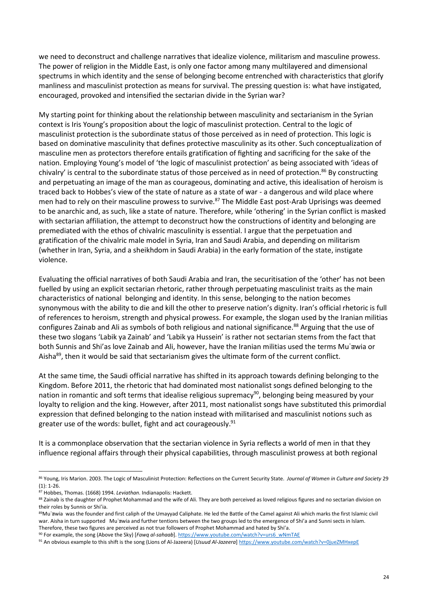we need to deconstruct and challenge narratives that idealize violence, militarism and masculine prowess. The power of religion in the Middle East, is only one factor among many multilayered and dimensional spectrums in which identity and the sense of belonging become entrenched with characteristics that glorify manliness and masculinist protection as means for survival. The pressing question is: what have instigated, encouraged, provoked and intensified the sectarian divide in the Syrian war?

My starting point for thinking about the relationship between masculinity and sectarianism in the Syrian context is Iris Young's proposition about the logic of masculinist protection. Central to the logic of masculinist protection is the subordinate status of those perceived as in need of protection. This logic is based on dominative masculinity that defines protective masculinity as its other. Such conceptualization of masculine men as protectors therefore entails gratification of fighting and sacrificing for the sake of the nation. Employing Young's model of 'the logic of masculinist protection' as being associated with 'ideas of chivalry' is central to the subordinate status of those perceived as in need of protection.<sup>86</sup> By constructing and perpetuating an image of the man as courageous, dominating and active, this idealisation of heroism is traced back to Hobbes's view of the state of nature as a state of war - a dangerous and wild place where men had to rely on their masculine prowess to survive.<sup>87</sup> The Middle East post-Arab Uprisings was deemed to be anarchic and, as such, like a state of nature. Therefore, while 'othering' in the Syrian conflict is masked with sectarian affiliation, the attempt to deconstruct how the constructions of identity and belonging are premediated with the ethos of chivalric masculinity is essential. I argue that the perpetuation and gratification of the chivalric male model in Syria, Iran and Saudi Arabia, and depending on militarism (whether in Iran, Syria, and a sheikhdom in Saudi Arabia) in the early formation of the state, instigate violence.

Evaluating the official narratives of both Saudi Arabia and Iran, the securitisation of the 'other' has not been fuelled by using an explicit sectarian rhetoric, rather through perpetuating masculinist traits as the main characteristics of national belonging and identity. In this sense, belonging to the nation becomes synonymous with the ability to die and kill the other to preserve nation's dignity. Iran's official rhetoric is full of references to heroism, strength and physical prowess. For example, the slogan used by the Iranian militias configures Zainab and Ali as symbols of both religious and national significance.<sup>88</sup> Arguing that the use of these two slogans 'Labik ya Zainab' and 'Labik ya Hussein' is rather not sectarian stems from the fact that both Sunnis and Shi'as love Zainab and Ali, however, have the Iranian militias used the terms Mu'awia or Aisha<sup>89</sup>, then it would be said that sectarianism gives the ultimate form of the current conflict.

At the same time, the Saudi official narrative has shifted in its approach towards defining belonging to the Kingdom. Before 2011, the rhetoric that had dominated most nationalist songs defined belonging to the nation in romantic and soft terms that idealise religious supremacy<sup>90</sup>, belonging being measured by your loyalty to religion and the king. However, after 2011, most nationalist songs have substituted this primordial expression that defined belonging to the nation instead with militarised and masculinist notions such as greater use of the words: bullet, fight and act courageously.<sup>91</sup>

It is a commonplace observation that the sectarian violence in Syria reflects a world of men in that they influence regional affairs through their physical capabilities, through masculinist prowess at both regional

1

<sup>86</sup> Young, Iris Marion. 2003. The Logic of Masculinist Protection: Reflections on the Current Security State. *Journal of Women in Culture and Society* 29 (1): 1-26.

<sup>87</sup> Hobbes, Thomas. (1668) 1994. *Leviathan*. Indianapolis: Hackett.

<sup>88</sup> Zainab is the daughter of Prophet Mohammad and the wife of Ali. They are both perceived as loved religious figures and no sectarian division on their roles by Sunnis or Shi'ia.

<sup>89</sup>Mu'awia was the founder and first caliph of the Umayyad Caliphate. He led the Battle of the Camel against Ali which marks the first Islamic civil war. Aisha in turn supported Mu'awia and further tentions between the two groups led to the emergence of Shi'a and Sunni sects in Islam. Therefore, these two figures are perceived as not true followers of Prophet Mohammad and hated by Shi'a.

<sup>90</sup> For example, the song (Above the Sky) [*Fawq al-sahaab*]. [https://www.youtube.com/watch?v=urs6\\_wNmTAE](https://www.youtube.com/watch?v=urs6_wNmTAE)

<sup>91</sup> An obvious example to this shift is the song (Lions of Al-Jazeera) [*Usuud Al-Jazeera*] <https://www.youtube.com/watch?v=0jueZMHxepE>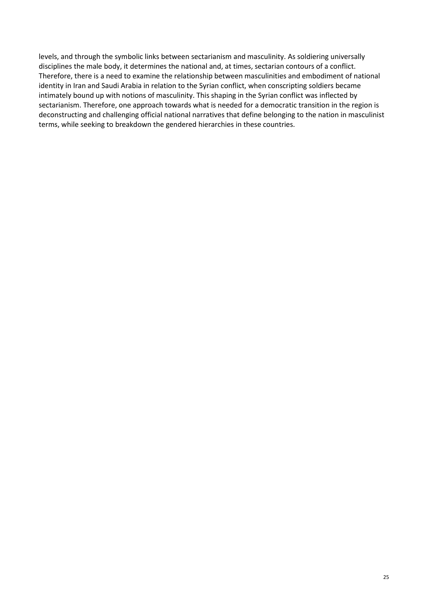levels, and through the symbolic links between sectarianism and masculinity. As soldiering universally disciplines the male body, it determines the national and, at times, sectarian contours of a conflict. Therefore, there is a need to examine the relationship between masculinities and embodiment of national identity in Iran and Saudi Arabia in relation to the Syrian conflict, when conscripting soldiers became intimately bound up with notions of masculinity. This shaping in the Syrian conflict was inflected by sectarianism. Therefore, one approach towards what is needed for a democratic transition in the region is deconstructing and challenging official national narratives that define belonging to the nation in masculinist terms, while seeking to breakdown the gendered hierarchies in these countries.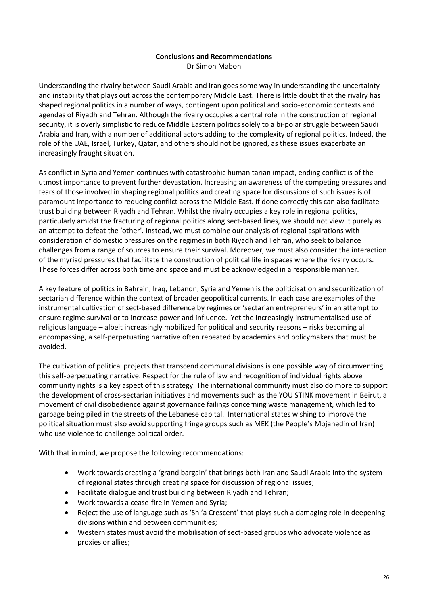#### **Conclusions and Recommendations** Dr Simon Mabon

Understanding the rivalry between Saudi Arabia and Iran goes some way in understanding the uncertainty and instability that plays out across the contemporary Middle East. There is little doubt that the rivalry has shaped regional politics in a number of ways, contingent upon political and socio-economic contexts and agendas of Riyadh and Tehran. Although the rivalry occupies a central role in the construction of regional security, it is overly simplistic to reduce Middle Eastern politics solely to a bi-polar struggle between Saudi Arabia and Iran, with a number of additional actors adding to the complexity of regional politics. Indeed, the role of the UAE, Israel, Turkey, Qatar, and others should not be ignored, as these issues exacerbate an increasingly fraught situation.

As conflict in Syria and Yemen continues with catastrophic humanitarian impact, ending conflict is of the utmost importance to prevent further devastation. Increasing an awareness of the competing pressures and fears of those involved in shaping regional politics and creating space for discussions of such issues is of paramount importance to reducing conflict across the Middle East. If done correctly this can also facilitate trust building between Riyadh and Tehran. Whilst the rivalry occupies a key role in regional politics, particularly amidst the fracturing of regional politics along sect-based lines, we should not view it purely as an attempt to defeat the 'other'. Instead, we must combine our analysis of regional aspirations with consideration of domestic pressures on the regimes in both Riyadh and Tehran, who seek to balance challenges from a range of sources to ensure their survival. Moreover, we must also consider the interaction of the myriad pressures that facilitate the construction of political life in spaces where the rivalry occurs. These forces differ across both time and space and must be acknowledged in a responsible manner.

A key feature of politics in Bahrain, Iraq, Lebanon, Syria and Yemen is the politicisation and securitization of sectarian difference within the context of broader geopolitical currents. In each case are examples of the instrumental cultivation of sect-based difference by regimes or 'sectarian entrepreneurs' in an attempt to ensure regime survival or to increase power and influence. Yet the increasingly instrumentalised use of religious language – albeit increasingly mobilized for political and security reasons – risks becoming all encompassing, a self-perpetuating narrative often repeated by academics and policymakers that must be avoided.

The cultivation of political projects that transcend communal divisions is one possible way of circumventing this self-perpetuating narrative. Respect for the rule of law and recognition of individual rights above community rights is a key aspect of this strategy. The international community must also do more to support the development of cross-sectarian initiatives and movements such as the YOU STINK movement in Beirut, a movement of civil disobedience against governance failings concerning waste management, which led to garbage being piled in the streets of the Lebanese capital. International states wishing to improve the political situation must also avoid supporting fringe groups such as MEK (the People's Mojahedin of Iran) who use violence to challenge political order.

With that in mind, we propose the following recommendations:

- Work towards creating a 'grand bargain' that brings both Iran and Saudi Arabia into the system of regional states through creating space for discussion of regional issues;
- Facilitate dialogue and trust building between Riyadh and Tehran;
- Work towards a cease-fire in Yemen and Syria;
- Reject the use of language such as 'Shi'a Crescent' that plays such a damaging role in deepening divisions within and between communities;
- Western states must avoid the mobilisation of sect-based groups who advocate violence as proxies or allies;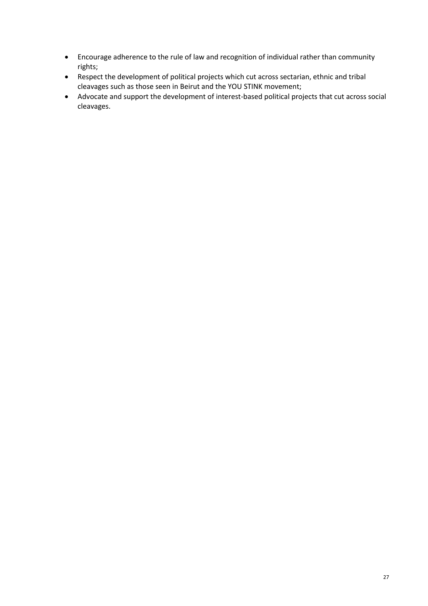- Encourage adherence to the rule of law and recognition of individual rather than community rights;
- Respect the development of political projects which cut across sectarian, ethnic and tribal cleavages such as those seen in Beirut and the YOU STINK movement;
- Advocate and support the development of interest-based political projects that cut across social cleavages.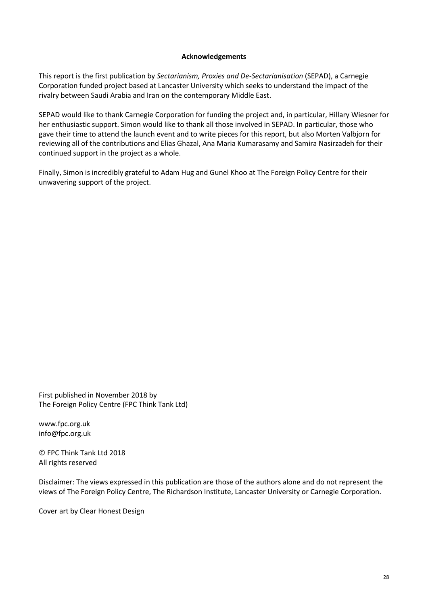#### **Acknowledgements**

This report is the first publication by *Sectarianism, Proxies and De-Sectarianisation* (SEPAD), a Carnegie Corporation funded project based at Lancaster University which seeks to understand the impact of the rivalry between Saudi Arabia and Iran on the contemporary Middle East.

SEPAD would like to thank Carnegie Corporation for funding the project and, in particular, Hillary Wiesner for her enthusiastic support. Simon would like to thank all those involved in SEPAD. In particular, those who gave their time to attend the launch event and to write pieces for this report, but also Morten Valbjorn for reviewing all of the contributions and Elias Ghazal, Ana Maria Kumarasamy and Samira Nasirzadeh for their continued support in the project as a whole.

Finally, Simon is incredibly grateful to Adam Hug and Gunel Khoo at The Foreign Policy Centre for their unwavering support of the project.

First published in November 2018 by The Foreign Policy Centre (FPC Think Tank Ltd)

www.fpc.org.uk info@fpc.org.uk

© FPC Think Tank Ltd 2018 All rights reserved

Disclaimer: The views expressed in this publication are those of the authors alone and do not represent the views of The Foreign Policy Centre, The Richardson Institute, Lancaster University or Carnegie Corporation.

Cover art by Clear Honest Design